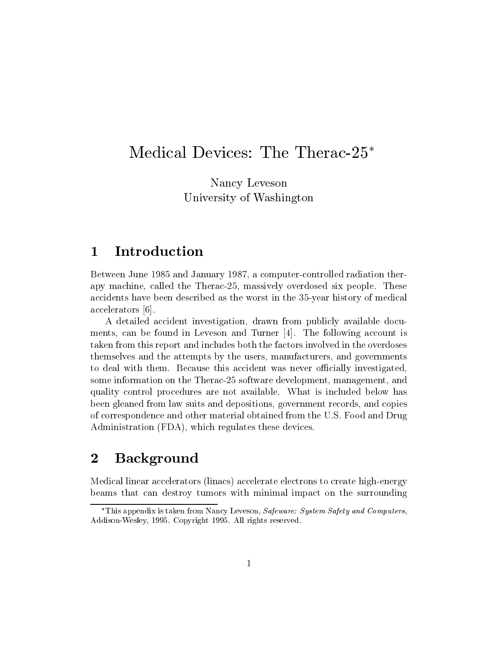# Medical Devices: The Therac-25

nancy Leves and the contract of the contract of the contract of the contract of the contract of the contract o University of Washington Computer Computer Computer Computer Computer Computer Computer Computer Computer Computer Computer Computer Computer Computer Computer Computer Computer Computer Computer Computer Computer Computer

#### 1Introduction

Between June 1985 and January 1987, a computer-controlled radiation therapy machine, called the Therac-25, massively overdosed six people. These accidents have been described as the worst in the 35-year history of medical accelerators [6].

A detailed accident investigation, drawn from publicly available documents, can be found in Leveson and Turner [4]. The following account is taken from this report and includes both the factors involved in the overdoses themselves and the attempts by the users, manufacturers, and governments to deal with them. Because this accident was never officially investigated, some information on the Therac-25 software development, management, and quality control procedures are not available. What is included below has been gleaned from law suits and depositions, government records, and copies of correspondence and other material obtained from the U.S. Food and Drug Administration (FDA), which regulates these devices.

#### 2Background

Medical linear accelerators (linacs) accelerate electrons to create high-energy beams that can destroy tumors with minimal impact on the surrounding

<sup>\*</sup>This appendix is taken from Nancy Leveson, Safeware: System Safety and Computers, Addison-Wesley, 1995. Copyright 1995. All rights reserved.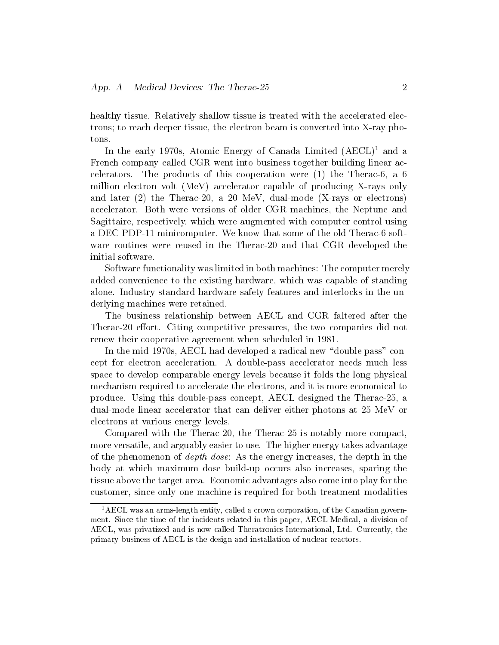healthy tissue. Relatively shallow tissue is treated with the accelerated electrons; to reach deeper tissue, the electron beam is converted into X-ray photons.

In the early 1970s, Atomic Energy of Canada Limited  $(AECL)^1$  and a French company called CGR went into business together building linear accelerators. The products of this cooperation were (1) the Therac-6, a 6 million electron volt (MeV) accelerator capable of producing X-rays only and later (2) the Therac-20, a 20 MeV, dual-mode (X-rays or electrons) accelerator. Both were versions of older CGR machines, the Neptune and Sagittaire, respectively, which were augmented with computer control using a DEC PDP-11 minicomputer. We know that some of the old Therac-6 software routines were reused in the Therac-20 and that CGR developed the initial software.

Software functionality was limited in both machines: The computer merely added convenience to the existing hardware, which was capable of standing alone. Industry-standard hardware safety features and interlocks in the underlying machines were retained.

The business relationship between AECL and CGR faltered after the Therac-20 effort. Citing competitive pressures, the two companies did not renew their cooperative agreement when scheduled in 1981.

In the mid-1970s, AECL had developed a radical new "double pass" concept for electron acceleration. A double-pass accelerator needs much less space to develop comparable energy levels because it folds the long physical mechanism required to accelerate the electrons, and it is more economical to produce. Using this double-pass concept, AECL designed the Therac-25, a dual-mode linear accelerator that can deliver either photons at 25 MeV or electrons at various energy levels.

Compared with the Therac-20, the Therac-25 is notably more compact, more versatile, and arguably easier to use. The higher energy takes advantage of the phenomenon of depth dose: As the energy increases, the depth in the body at which maximum dose build-up occurs also increases, sparing the tissue above the target area. Economic advantages also come into play for the customer, since only one machine is required for both treatment modalities

<sup>&</sup>lt;sup>1</sup>AECL was an arms-length entity, called a crown corporation, of the Canadian government. Since the time of the incidents related in this paper, AECL Medical, a division of AECL, was privatized and is now called Theratronics International, Ltd. Currently, the primary business of AECL is the design and installation of nuclear reactors.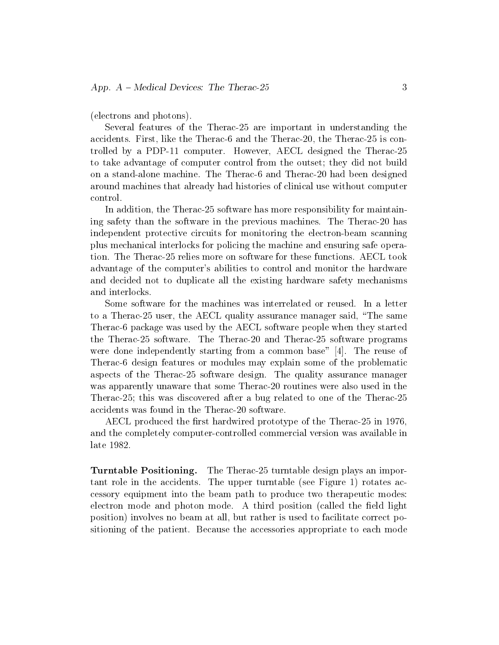(electrons and photons).

Several features of the Therac-25 are important in understanding the accidents. First, like the Therac-6 and the Therac-20, the Therac-25 is controlled by a PDP-11 computer. However, AECL designed the Therac-25 to take advantage of computer control from the outset; they did not build on a stand-alone machine. The Therac-6 and Therac-20 had been designed around machines that already had histories of clinical use without computer control.

In addition, the Therac-25 software has more responsibility for maintaining safety than the software in the previous machines. The Therac-20 has independent protective circuits for monitoring the electron-beam scanning plus mechanical interlocks for policing the machine and ensuring safe operation. The Therac-25 relies more on software for these functions. AECL took advantage of the computer's abilities to control and monitor the hardware and decided not to duplicate all the existing hardware safety mechanisms and interlocks.

Some software for the machines was interrelated or reused. In a letter to a Therac-25 user, the AECL quality assurance manager said, \The same Therac-6 package was used by the AECL software people when they started the Therac-25 software. The Therac-20 and Therac-25 software programs were done independently starting from a common base" [4]. The reuse of Therac-6 design features or modules may explain some of the problematic aspects of the Therac-25 software design. The quality assurance manager was apparently unaware that some Therac-20 routines were also used in the Therac-25; this was discovered after a bug related to one of the Therac-25 accidents was found in the Therac-20 software.

AECL produced the first hardwired prototype of the Therac-25 in 1976. and the completely computer-controlled commercial version was available in late 1982.

Turntable Positioning. The Therac-25 turntable design plays an important role in the accidents. The upper turntable (see Figure 1) rotates accessory equipment into the beam path to produce two therapeutic modes: electron mode and photon mode. A third position (called the field light position) involves no beam at all, but rather is used to facilitate correct positioning of the patient. Because the accessories appropriate to each mode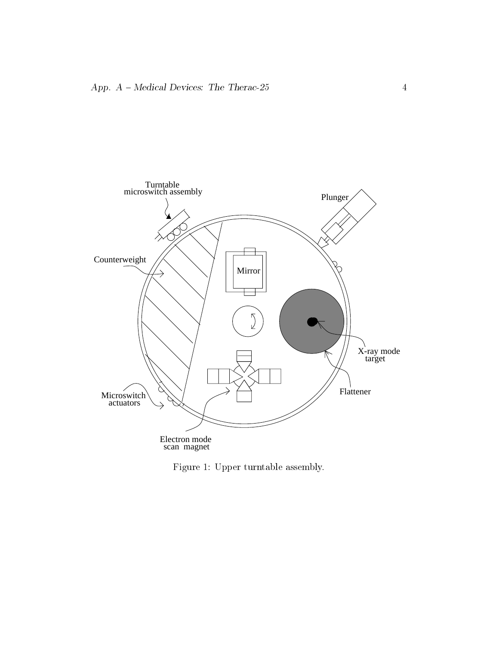

Figure 1: Upper turntable assembly.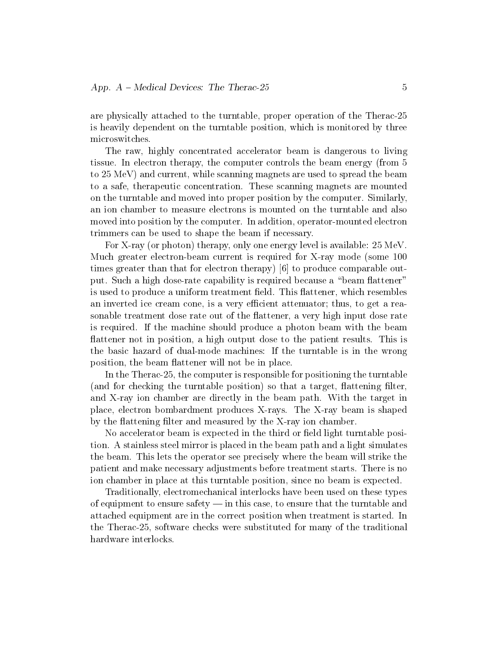are physically attached to the turntable, proper operation of the Therac-25 is heavily dependent on the turntable position, which is monitored by three microswitches.

The raw, highly concentrated accelerator beam is dangerous to living tissue. In electron therapy, the computer controls the beam energy (from 5 to 25 MeV) and current, while scanning magnets are used to spread the beam to a safe, therapeutic concentration. These scanning magnets are mounted on the turntable and moved into proper position by the computer. Similarly, an ion chamber to measure electrons is mounted on the turntable and also moved into position by the computer. In addition, operator-mounted electron trimmers can be used to shape the beam if necessary.

For X-ray (or photon) therapy, only one energy level is available: 25 MeV. Much greater electron-beam current is required for X-ray mode (some 100 times greater than that for electron therapy) [6] to produce comparable output. Such a high dose-rate capability is required because a "beam flattener" is used to produce a uniform treatment field. This flattener, which resembles an inverted ice cream cone, is a very efficient attenuator; thus, to get a reasonable treatment dose rate out of the flattener, a very high input dose rate is required. If the machine should produce a photon beam with the beam attener not in position, a high output dose to the patient results. This is the basic hazard of dual-mode machines: If the turntable is in the wrong position, the beam flattener will not be in place.

In the Therac-25, the computer is responsible for positioning the turntable (and for checking the turntable position) so that a target, flattening filter. and X-ray ion chamber are directly in the beam path. With the target in place, electron bombardment produces X-rays. The X-ray beam is shaped by the flattening filter and measured by the X-ray ion chamber.

No accelerator beam is expected in the third or field light turntable position. A stainless steel mirror is placed in the beam path and a light simulates the beam. This lets the operator see precisely where the beam will strike the patient and make necessary adjustments before treatment starts. There is no ion chamber in place at this turntable position, since no beam is expected.

Traditionally, electromechanical interlocks have been used on these types of equipment to ensure safety — in this case, to ensure that the turntable and attached equipment are in the correct position when treatment is started. In the Therac-25, software checks were substituted for many of the traditional hardware interlocks.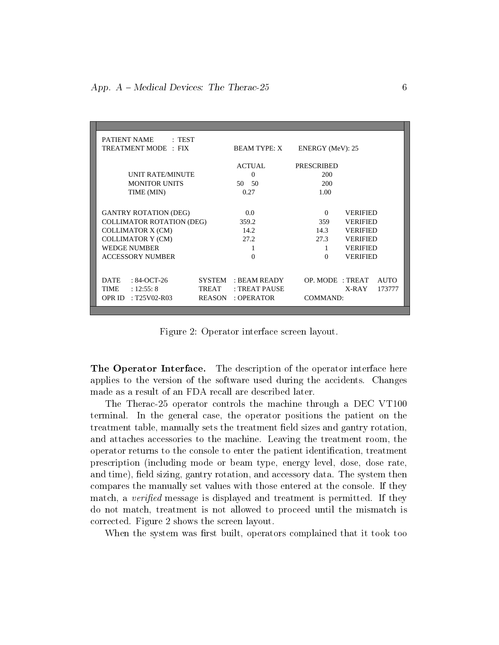| PATIENT NAME: TEST<br>TREATMENT MODE : FIX | <b>BEAM TYPE: X</b>                 | ENERGY (MeV): 25            |
|--------------------------------------------|-------------------------------------|-----------------------------|
|                                            | <b>ACTUAL</b>                       | <b>PRESCRIBED</b>           |
| UNIT RATE/MINUTE                           | $\Omega$                            | 200                         |
| <b>MONITOR UNITS</b>                       | 50<br>- 50                          | 200                         |
| TIME (MIN)                                 | 0.27                                | 1.00                        |
|                                            |                                     |                             |
| <b>GANTRY ROTATION (DEG)</b>               | 0.0                                 | $\Omega$<br><b>VERIFIED</b> |
| <b>COLLIMATOR ROTATION (DEG)</b>           | 359.2                               | 359<br><b>VERIFIED</b>      |
| <b>COLLIMATOR X (CM)</b>                   | 14.2                                | <b>VERIFIED</b><br>14.3     |
| <b>COLLIMATOR Y (CM)</b>                   | 27.2                                | 27.3<br><b>VERIFIED</b>     |
| <b>WEDGE NUMBER</b>                        | 1                                   | <b>VERIFIED</b><br>1        |
| <b>ACCESSORY NUMBER</b>                    | $\Omega$                            | $\Omega$<br><b>VERIFIED</b> |
|                                            |                                     |                             |
| <b>DATE</b><br>: 84-OCT-26                 | $\cdot$ BEAM READY<br><b>SYSTEM</b> | OP. MODE: TREAT<br>AUTO     |
| $TIME = 12:55:8$                           | TREAT<br>$:$ TREAT PAUSE            | X-RAY<br>173777             |
| OPR ID : $T25V02-R03$                      | $:$ OPERATOR<br>REASON              | COMMAND:                    |

Figure 2: Operator interface screen layout.

The Operator Interface. The description of the operator interface here applies to the version of the software used during the accidents. Changes made as a result of an FDA recall are described later.

The Therac-25 operator controls the machine through a DEC VT100 terminal. In the general case, the operator positions the patient on the treatment table, manually sets the treatment field sizes and gantry rotation, and attaches accessories to the machine. Leaving the treatment room, the operator returns to the console to enter the patient identication, treatment prescription (including mode or beam type, energy level, dose, dose rate, and time), field sizing, gantry rotation, and accessory data. The system then compares the manually set values with those entered at the console. If they match, a verified message is displayed and treatment is permitted. If they do not match, treatment is not allowed to proceed until the mismatch is corrected. Figure 2 shows the screen layout.

When the system was first built, operators complained that it took too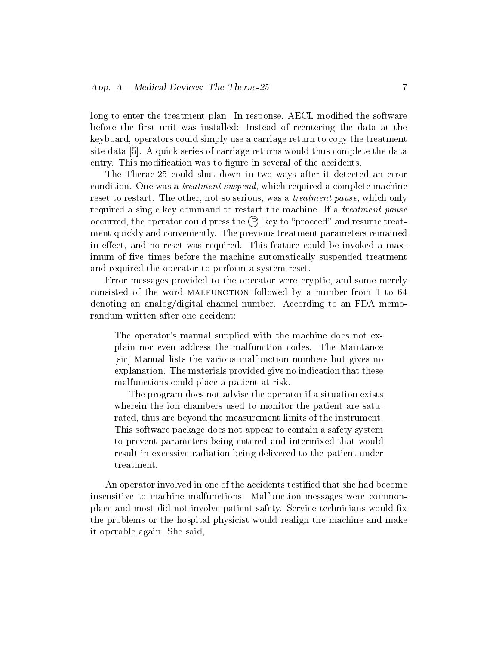long to enter the treatment plan. In response, AECL modified the software before the first unit was installed: Instead of reentering the data at the keyboard, operators could simply use a carriage return to copy the treatment site data [5]. A quick series of carriage returns would thus complete the data entry. This modification was to figure in several of the accidents.

The Therac-25 could shut down in two ways after it detected an error condition. One was a *treatment suspend*, which required a complete machine reset to restart. The other, not so serious, was a *treatment pause*, which only required a single key command to restart the machine. If a treatment pause occurred, the operator could press the  $(P)$  key to "proceed" and resume treatment quickly and conveniently. The previous treatment parameters remained in effect, and no reset was required. This feature could be invoked a maximum of five times before the machine automatically suspended treatment and required the operator to perform a system reset.

Error messages provided to the operator were cryptic, and some merely consisted of the word malfunction followed by a number from 1 to 64 denoting an analog/digital channel number. According to an FDA memorandum written after one accident:

The operator's manual supplied with the machine does not explain nor even address the malfunction codes. The Maintance [sic] Manual lists the various malfunction numbers but gives no explanation. The materials provided give no indication that these malfunctions could place a patient at risk.

The program does not advise the operator if a situation exists wherein the ion chambers used to monitor the patient are saturated, thus are beyond the measurement limits of the instrument. This software package does not appear to contain a safety system to prevent parameters being entered and intermixed that would result in excessive radiation being delivered to the patient under treatment.

An operator involved in one of the accidents testied that she had become insensitive to machine malfunctions. Malfunction messages were commonplace and most did not involve patient safety. Service technicians would fix the problems or the hospital physicist would realign the machine and make it operable again. She said,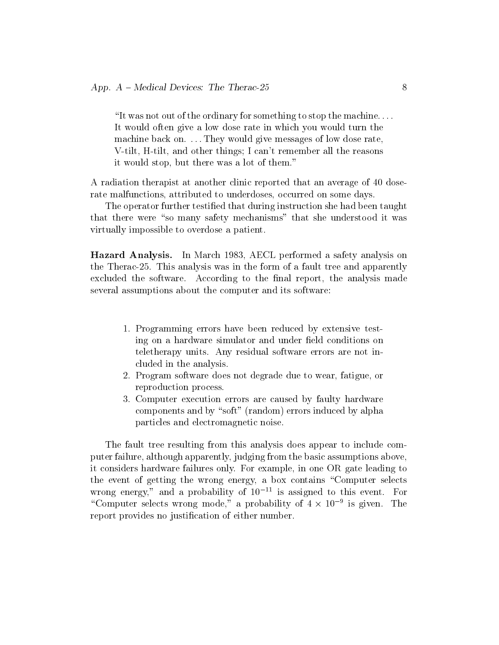"It was not out of the ordinary for something to stop the machine.... It would often give a low dose rate in which you would turn the machine back on.... They would give messages of low dose rate, V-tilt, H-tilt, and other things; I can't remember all the reasons it would stop, but there was a lot of them."

A radiation therapist at another clinic reported that an average of 40 doserate malfunctions, attributed to underdoses, occurred on some days.

The operator further testied that during instruction she had been taught that there were "so many safety mechanisms" that she understood it was virtually impossible to overdose a patient.

Hazard Analysis. In March 1983, AECL performed a safety analysis on the Therac-25. This analysis was in the form of a fault tree and apparently excluded the software. According to the final report, the analysis made several assumptions about the computer and its software:

- 1. Programming errors have been reduced by extensive testing on a hardware simulator and under field conditions on teletherapy units. Any residual software errors are not included in the analysis.
- 2. Program software does not degrade due to wear, fatigue, or reproduction process.
- 3. Computer execution errors are caused by faulty hardware components and by "soft" (random) errors induced by alpha particles and electromagnetic noise.

The fault tree resulting from this analysis does appear to include computer failure, although apparently, judging from the basic assumptions above, it considers hardware failures only. For example, in one OR gateleading to the event of getting the wrong energy, a box contains "Computer selects" wrong energy," and a probability of  $10^{-11}$  is assigned to this event. For Computer selects wrong mode, a probability of  $4 \times 10^{-7}$  is given. The report provides no justification of either number.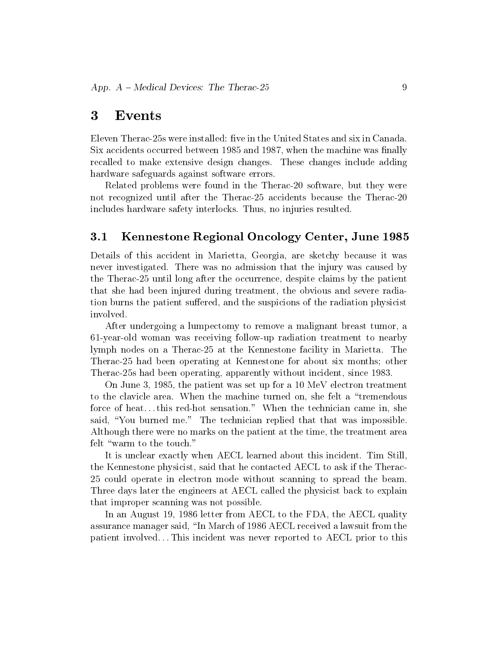#### 3Events

Eleven Therac-25s were installed: five in the United States and six in Canada. Six accidents occurred between 1985 and 1987, when the machine was finally recalled to make extensive design changes. These changes include adding hardware safeguards against software errors.

Related problems were found in the Therac-20 software, but they were not recognized until after the Therac-25 accidents because the Therac-20 includes hardware safety interlocks. Thus, no injuries resulted.

## 3.1 Kennestone Regional Oncology Center, June 1985

Details of this accident in Marietta, Georgia, are sketchy because it was never investigated. There was no admission that the injury was caused by the Therac-25 until long after the occurrence, despite claims by the patient that she had been injured during treatment, the obvious and severe radiation burns the patient suffered, and the suspicions of the radiation physicist involved.

After undergoing a lumpectomy to remove a malignant breast tumor, a 61-year-old woman was receiving follow-up radiation treatment to nearby lymph nodes on a Therac-25 at the Kennestone facility in Marietta. The Therac-25 had been operating at Kennestone for about six months; other Therac-25s had been operating, apparently without incident, since 1983.

On June 3, 1985, the patient was set up for a 10 MeV electron treatment to the clavicle area. When the machine turned on, she felt a \tremendous force of heat...this red-hot sensation." When the technician came in, she said, "You burned me." The technician replied that that was impossible. Although there were no marks on the patient at the time, the treatment area felt "warm to the touch."

It is unclear exactly when AECL learned about this incident. Tim Still, the Kennestone physicist, said that he contacted AECL to ask if the Therac-25 could operate in electron mode without scanning to spread the beam. Three days later the engineers at AECL called the physicist back to explain that improper scanning was not possible.

In an August 19, 1986 letter from AECL to the FDA, the AECL quality assurance manager said, \In March of 1986 AECL received a lawsuit from the patient involved::: This incident was never reported to AECL prior to this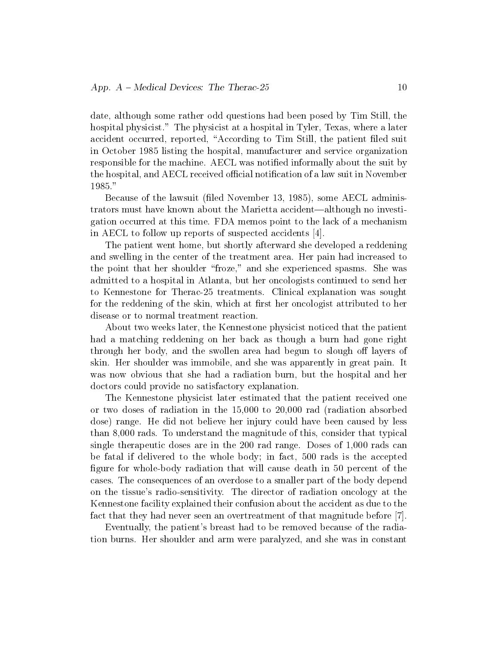date, although some rather odd questions had been posed by Tim Still, the hospital physicist." The physicist at a hospital in Tyler, Texas, where a later accident occurred, reported, "According to Tim Still, the patient filed suit in October 1985 listing the hospital, manufacturer and service organization responsible for the machine. AECL was notied informally about the suit by the hospital, and AECL received official notification of a law suit in November 1985."

Because of the lawsuit (filed November 13, 1985), some AECL administrators must have known about the Marietta accident—although no investigation occurred at this time. FDA memos point to the lack of a mechanism in AECL to follow up reports of suspected accidents [4].

The patient went home, but shortly afterward she developed a reddening and swelling in the center of the treatment area. Her pain had increased to the point that her shoulder \froze," and she experienced spasms. She was admitted to a hospital in Atlanta, but her oncologists continued to send her to Kennestone for Therac-25 treatments. Clinical explanation was sought for the reddening of the skin, which at first her oncologist attributed to her disease or to normal treatment reaction.

About two weeks later, the Kennestone physicist noticed that the patient had a matching reddening on her back as though a burn had gone right through her body, and the swollen area had begun to slough off layers of skin. Her shoulder was immobile, and she was apparently in great pain. It was now obvious that she had a radiation burn, but the hospital and her doctors could provide no satisfactory explanation.

The Kennestone physicist later estimated that the patient received one or two doses of radiation in the 15,000 to 20,000 rad (radiation absorbed dose) range. He did not believe her injury could have been caused by less than 8,000 rads. To understand the magnitude of this, consider that typical single therapeutic doses are in the 200 rad range. Doses of 1,000 rads can be fatal if delivered to the whole body; in fact, 500 rads is the accepted figure for whole-body radiation that will cause death in 50 percent of the cases. The consequences of an overdose to a smaller part of the body depend on the tissue's radio-sensitivity. The director of radiation oncology at the Kennestone facility explained their confusion about the accident as due to the fact that they had never seen an overtreatment of that magnitude before [7].

Eventually, the patient's breast had to be removed because of the radiation burns. Her shoulder and arm were paralyzed, and she was in constant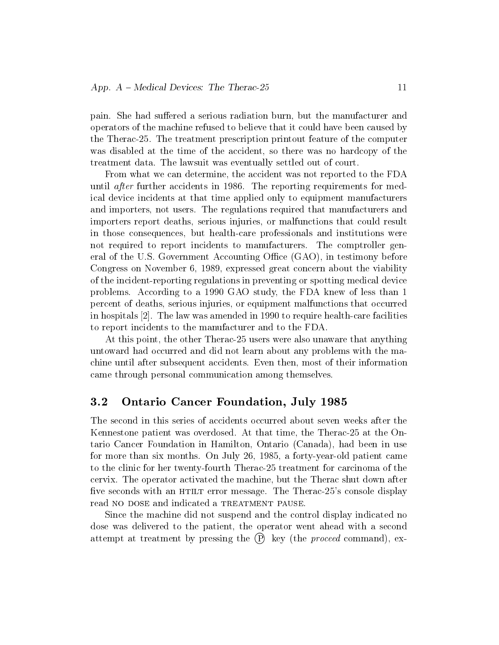pain. She had suffered a serious radiation burn, but the manufacturer and operators of the machine refused to believe that it could have been caused by the Therac-25. The treatment prescription printout feature of the computer was disabled at the time of the accident, so there was no hardcopy of the treatment data. The lawsuit was eventually settled out of court.

From what we can determine, the accident was not reported to the FDA until after further accidents in 1986. The reporting requirements for medical device incidents at that time applied only to equipment manufacturers and importers, not users. The regulations required that manufacturers and importers report deaths, serious injuries, or malfunctions that could result in those consequences, but health-care professionals and institutions were not required to report incidents to manufacturers. The comptroller general of the U.S. Government Accounting Office (GAO), in testimony before Congress on November 6, 1989, expressed great concern about the viability of the incident-reporting regulations in preventing or spotting medical device problems. According to a 1990 GAO study, the FDA knew of less than 1 percent of deaths, serious injuries, or equipment malfunctions that occurred in hospitals [2]. The law was amended in 1990 to require health-care facilities to report incidents to the manufacturer and to the FDA.

At this point, the other Therac-25 users were also unaware that anything untoward had occurred and did not learn about any problems with the machine until after subsequent accidents. Even then, most of their information came through personal communication among themselves.

## 3.2 Ontario Cancer Foundation, July 1985

The second in this series of accidents occurred about seven weeks after the Kennestone patient was overdosed. At that time, the Therac-25 at the Ontario Cancer Foundation in Hamilton, Ontario (Canada), had been in use for more than six months. On July 26, 1985, a forty-year-old patient came to the clinic for her twenty-fourth Therac-25 treatment for carcinoma of the cervix. The operator activated the machine, but the Therac shut down after five seconds with an HTILT error message. The Therac-25's console display read NO DOSE and indicated a TREATMENT PAUSE.

Since the machine did not suspend and the control display indicated no dose was delivered to the patient, the operator went ahead with a second attempt at treatment by pressing the  $(P)$  key (the *proceed* command), ex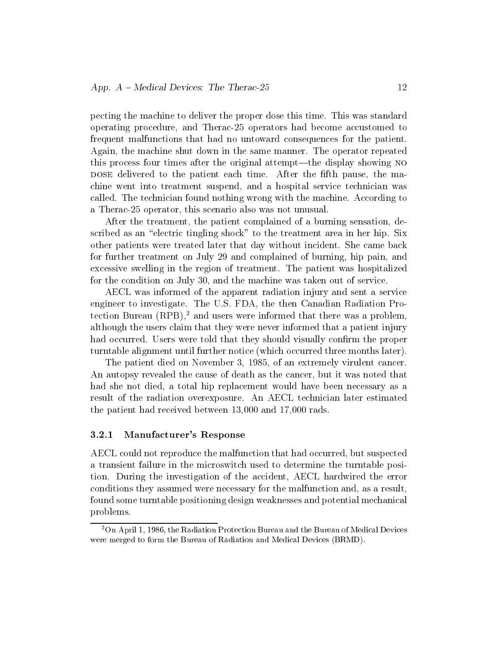pecting the machine to deliver the proper dose this time. This was standard operating procedure, and Therac-25 operators had become accustomed to frequent malfunctions that had no untoward consequences for the patient. Again, the machine shut down in the same manner. The operator repeated this process four times after the original attempt—the display showing NO DOSE delivered to the patient each time. After the fifth pause, the machine went into treatment suspend, and a hospital service technician was called. The technician found nothing wrong with the machine. According to a Therac-25 operator, this scenario also was not unusual.

After the treatment, the patient complained of a burning sensation, described as an "electric tingling shock" to the treatment area in her hip. Six other patients were treated later that day without incident. She came back for further treatment on July 29 and complained of burning, hip pain, and excessive swelling in the region of treatment. The patient was hospitalized for the condition on July 30, and the machine was taken out of service.

AECL was informed of the apparent radiation injury and sent a service engineer to investigate. The U.S. FDA, the then Canadian Radiation Protection Bureau  $(RPB)$ ,<sup>2</sup> and users were informed that there was a problem. although the users claim that they were never informed that a patient injury had occurred. Users were told that they should visually confirm the proper turntable alignment until further notice (which occurred three months later).

The patient died on November 3, 1985, of an extremely virulent cancer. An autopsy revealed the cause of death as the cancer, but it was noted that had she not died, a total hip replacement would have been necessary as a result of the radiation overexposure. An AECL technician later estimated the patient had received between 13,000 and 17,000 rads.

### 3.2.1 Manufacturer's Response

AECL could not reproduce the malfunction that had occurred, but suspected a transient failure in the microswitch used to determine the turntable position. During the investigation of the accident, AECL hardwired the error conditions they assumed were necessary for the malfunction and, as a result, found some turntable positioning design weaknesses and potential mechanical problems.

<sup>2</sup>On April 1, 1986, the Radiation Protection Bureau and the Bureau of Medical Devices were merged to form the Bureau of Radiation and Medical Devices (BRMD).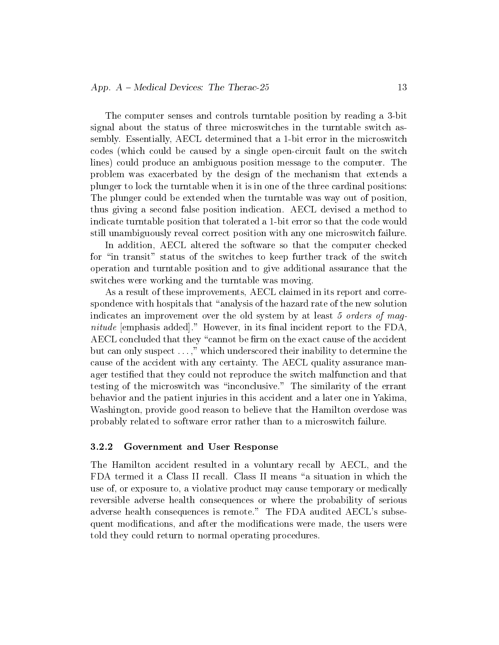The computer senses and controls turntable position by reading a 3-bit signal about the status of three microswitches in the turntable switch assembly. Essentially, AECL determined that a 1-bit error in the microswitch codes (which could be caused by a single open-circuit fault on the switch lines) could produce an ambiguous position message to the computer. The problem was exacerbated by the design of the mechanism that extends a plunger to lock the turntable when it is in one of the three cardinal positions: The plunger could be extended when the turntable was way out of position, thus giving a second false position indication. AECL devised a method to indicate turntable position that tolerated a 1-bit error so that the code would still unambiguously reveal correct position with any one microswitch failure.

In addition, AECL altered the software so that the computer checked for "in transit" status of the switches to keep further track of the switch operation and turntable position and to give additional assurance that the switches were working and the turntable was moving.

As a result of these improvements, AECL claimed in its report and correspondence with hospitals that "analysis of the hazard rate of the new solution indicates an improvement over the old system by at least <sup>5</sup> orders of magnitude [emphasis added]. "However, in its incident report to the FDA, it is in its incident report to the FDA, AECL concluded that they "cannot be firm on the exact cause of the accident but can only suspect ...," which underscored their inability to determine the cause of the accident with any certainty. The AECL quality assurance manager testied that they could not reproduce the switch malfunction and that testing of the microswitch was \inconclusive." The similarity of the errant behavior and the patient injuries in this accident and a later one in Yakima, Washington, provide good reason to believe that the Hamilton overdose was probably related to software error rather than to a microswitch failure.

#### 3.2.2 Government and User Response

The Hamilton accident resulted in a voluntary recall by AECL, and the FDA termed it a Class II recall. Class II means "a situation in which the use of, or exposure to, a violative product may cause temporary or medically reversible adverse health consequences or where the probability of serious adverse health consequences is remote." The FDA audited AECL's subsequent modications, and after the modications were made, the users were told they could return to normal operating procedures.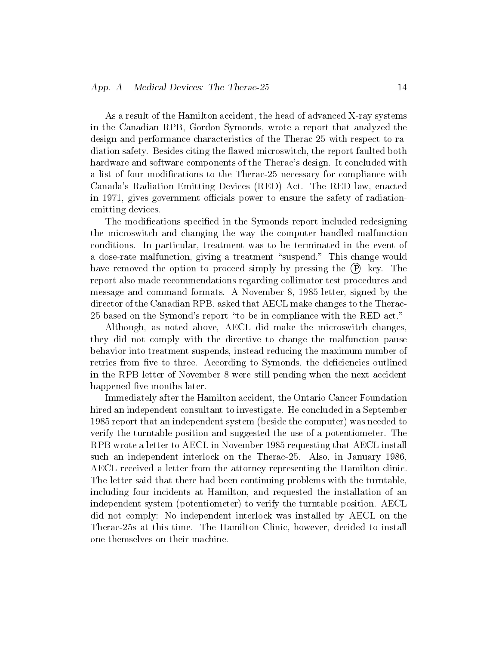As a result of the Hamilton accident, the head of advanced X-ray systems in the Canadian RPB, Gordon Symonds, wrote a report that analyzed the design and performance characteristics of the Therac-25 with respect to radiation safety. Besides citing the 
awed microswitch, the report faulted both hardware and software components of the Therac's design. It concluded with a list of four modifications to the Therac-25 necessary for compliance with Canada's Radiation Emitting Devices (RED) Act. The RED law, enacted in 1971, gives government officials power to ensure the safety of radiationemitting devices.

The modications specied in the Symonds report included redesigning the microswitch and changing the way the computer handled malfunction conditions. In particular, treatment was to be terminated in the event of a dose-rate malfunction, giving a treatment "suspend." This change would have removed the option to proceed simply by pressing the  $(P)$  key. The report also made recommendations regarding collimator test procedures and message and command formats. A November 8, 1985 letter, signed by the director of the Canadian RPB, asked that AECL make changes to the Therac-25 based on the Symond's report \to be in compliance with the RED act."

Although, as noted above, AECL did make the microswitch changes, they did not comply with the directive to change the malfunction pause behavior into treatment suspends, instead reducing the maximum number of retries from five to three. According to Symonds, the deficiencies outlined in the RPB letter of November 8 were still pending when the next accident happened five months later.

Immediately after the Hamilton accident, the Ontario Cancer Foundation hired an independent consultant to investigate. He concluded in a September 1985 report that an independent system (beside the computer) was needed to verify the turntable position and suggested the use of a potentiometer. The RPB wrote a letter to AECL in November 1985 requesting that AECL install such an independent interlock on the Therac-25. Also, in January 1986, AECL received a letter from the attorney representing the Hamilton clinic. The letter said that there had been continuing problems with the turntable, including four incidents at Hamilton, and requested the installation of an independent system (potentiometer) to verify the turntable position. AECL did not comply: No independent interlock was installed by AECL on the Therac-25s at this time. The Hamilton Clinic, however, decided to install one themselves on their machine.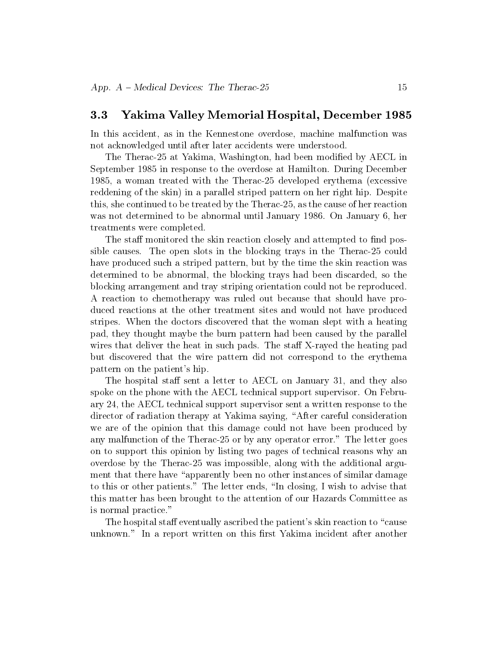### 3.3 Yakima Valley Memorial Hospital, December 1985

In this accident, as in the Kennestone overdose, machine malfunction was not acknowledged until after later accidents were understood.

The Therac-25 at Yakima, Washington, had been modified by AECL in September 1985 in response to the overdose at Hamilton. During December 1985, a woman treated with the Therac-25 developed erythema (excessive reddening of the skin) in a parallel striped pattern on her right hip. Despite this, she continued to be treated by the Therac-25, as the cause of her reaction was not determined to be abnormal until January 1986. On January 6, her treatments were completed.

The staff monitored the skin reaction closely and attempted to find possible causes. The open slots in the blocking trays in the Therac-25 could have produced such a striped pattern, but by the time the skin reaction was determined to be abnormal, the blocking trays had been discarded, so the blocking arrangement and tray striping orientation could not be reproduced. A reaction to chemotherapy was ruled out because that should have produced reactions at the other treatment sites and would not have produced stripes. When the doctors discovered that the woman slept with a heating pad, they thought maybe the burn pattern had been caused by the parallel wires that deliver the heat in such pads. The staff X-rayed the heating pad but discovered that the wire pattern did not correspond to the erythema pattern on the patient's hip.

The hospital staff sent a letter to AECL on January 31, and they also spoke on the phone with the AECL technical support supervisor. On February 24, the AECL technical support supervisor sent a written response to the director of radiation therapy at Yakima saying, "After careful consideration we are of the opinion that this damage could not have been produced by any malfunction of the Therac-25 or by any operator error." The letter goes on to support this opinion by listing two pages of technical reasons why an overdose by the Therac-25 was impossible, along with the additional argument that there have "apparently been no other instances of similar damage to this or other patients." The letter ends, \In closing, I wish to advise that this matter has been brought to the attention of our Hazards Committee as is normal practice."

The hospital staff eventually ascribed the patient's skin reaction to "cause" unknown." In a report written on this first Yakima incident after another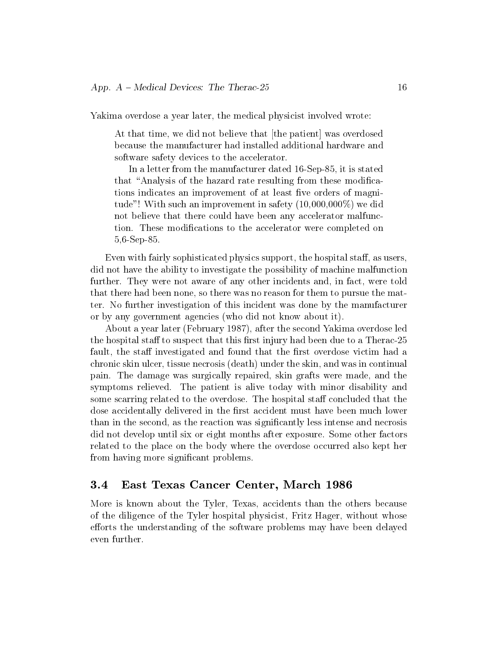Yakima overdose a year later, the medical physicist involved wrote:

At that time, we did not believe that [the patient] was overdosed because the manufacturer had installed additional hardware and software safety devices to the accelerator.

In a letter from the manufacturer dated 16-Sep-85, it is stated that "Analysis of the hazard rate resulting from these modifications indicates an improvement of at least five orders of magnitude"! With such an improvement in safety (10,000,000%) we did not believe that there could have been any accelerator malfunction. These modications to the accelerator were completed on 5,6-Sep-85.

Even with fairly sophisticated physics support, the hospital staff, as users, did not have the ability to investigate the possibility of machine malfunction further. They were not aware of any other incidents and, in fact, were told that there had been none, so there was no reason for them to pursue the matter. No further investigation of this incident was done by the manufacturer or by any government agencies (who did not know about it).

About a year later (February 1987), after the second Yakima overdose led the hospital staff to suspect that this first injury had been due to a Therac-25 fault, the staff investigated and found that the first overdose victim had a chronic skin ulcer, tissue necrosis (death) under the skin, and was in continual pain. The damage was surgically repaired, skin grafts were made, and the symptoms relieved. The patient is alive today with minor disability and some scarring related to the overdose. The hospital staff concluded that the dose accidentally delivered in the first accident must have been much lower than in the second, as the reaction was signicantly less intense and necrosis did not develop until six or eight months after exposure. Some other factors related to the place on the body where the overdose occurred also kept her from having more significant problems.

#### $3.4$ 3.4 East Texas Cancer Center, March 1986

More is known about the Tyler, Texas, accidents than the others because of the diligence of the Tyler hospital physicist, Fritz Hager, without whose efforts the understanding of the software problems may have been delayed even further.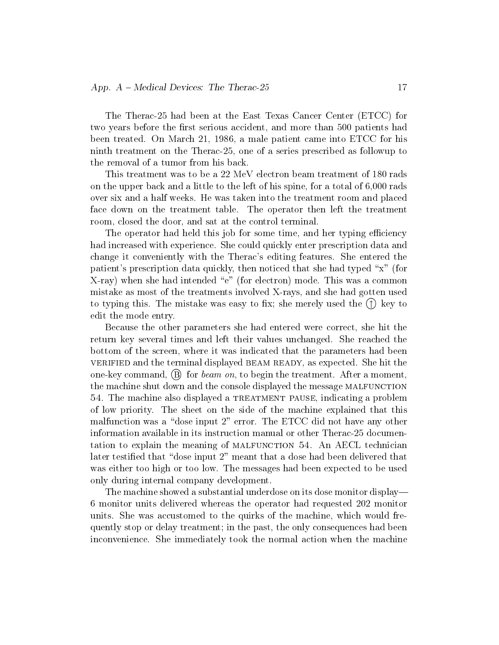The Therac-25 had been at the East Texas Cancer Center (ETCC) for two years before the first serious accident, and more than 500 patients had been treated. On March 21, 1986, a male patient came into ETCC for his ninth treatment on the Therac-25, one of a series prescribed asfollowup to the removal of a tumor from his back.

This treatment was to be a 22 MeV electron beam treatment of 180 rads on the upper back and a little to the left of his spine, for a total of 6,000 rads over six and a half weeks. He was taken into the treatment room and placed face down on the treatment table. The operator then left the treatment room, closed the door, and sat at the control terminal.

The operator had held this job for some time, and her typing efficiency had increased with experience. She could quickly enter prescription data and change it conveniently with the Therac's editing features. She entered the patient's prescription data quickly, then noticed that she had typed "x" (for X-ray) when she had intended "e" (for electron) mode. This was a common mistake as most of the treatments involved X-rays, and she had gotten used to typing this. The mistake was easy to fix; she merely used the  $(\uparrow)$  key to edit the mode entry.

Because the other parameters she had entered were correct, she hit the return key several times and left their values unchanged. She reached the bottom of the screen, where it was indicated that the parameters had been verified and the terminal displayed BEAM READY, as expected. She hit the one-key command,  $(B)$  for *beam on*, to begin the treatment. After a moment the machine shut down and the console displayed the message MALFUNCTION 54. The machine also displayed a treatment pause, indicating a problem of low priority. The sheet on the side of the machine explained that this malfunction was a "dose input 2" error. The ETCC did not have any other information available in its instruction manual or other Therac-25 documentation to explain the meaning of MALFUNCTION 54. An AECL technician later testified that "dose input 2" meant that a dose had been delivered that was either too high or too low. The messages had been expected to be used only during internal company development.

The machine showed a substantial underdose on its dose monitor display— 6 monitor units delivered whereas the operator had requested 202 monitor units. She was accustomed to the quirks of the machine, which would frequently stop or delay treatment; in the past, the only consequences had been inconvenience. She immediately took the normal action when the machine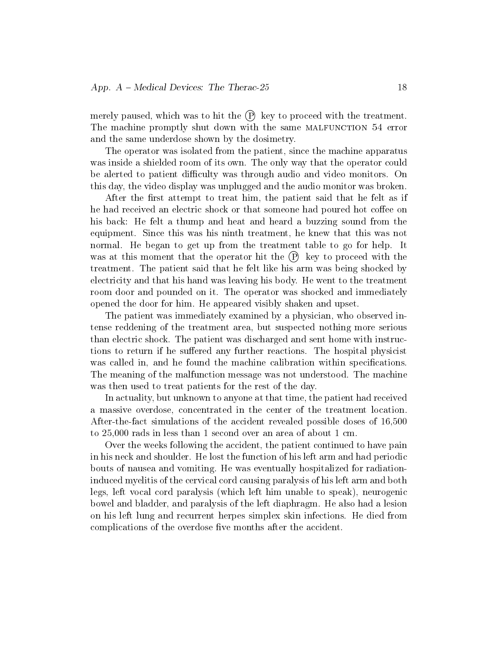merely paused, which was to hit the  $(P)$  key to proceed with the treatment. The machine promptly shut down with the same MALFUNCTION 54 error and the same underdose shown by the dosimetry.

The operator was isolated from the patient, since the machine apparatus was inside a shielded room of its own. The only way that the operator could be alerted to patient difficulty was through audio and video monitors. On this day, the video display was unplugged and the audio monitor was broken.

After the first attempt to treat him, the patient said that he felt as if he had received an electric shock or that someone had poured hot coffee on his back: He felt a thump and heat and heard a buzzing sound from the equipment. Since this was his ninth treatment, he knew that this was not normal. He began to get up from the treatment table to go for help. It was at this moment that the operator hit the  $(P)$  key to proceed with the treatment. The patient said that he felt like his arm was being shocked by electricity and that his hand was leaving his body. He went to the treatment room door and pounded on it. The operator was shocked and immediately opened the door for him. He appeared visibly shaken and upset.

The patient was immediately examined by a physician, who observed intense reddening of the treatment area, but suspected nothing more serious than electric shock. The patient was discharged and sent home with instructions to return if he suffered any further reactions. The hospital physicist was called in, and he found the machine calibration within specifications. The meaning of the malfunction message was not understood. The machine was then used to treat patients for the rest of the day.

In actuality, but unknown to anyone at that time, the patient had received a massive overdose, concentrated in the center of the treatment location. After-the-fact simulations of the accident revealed possible doses of 16,500 to 25,000 rads in less than 1 second over an area of about 1 cm.

Over the weeks following the accident, the patient continued to have pain in his neck and shoulder. He lost the function of his left arm and had periodic bouts of nausea and vomiting. He was eventually hospitalized for radiationinduced myelitis of the cervical cord causing paralysis of his left arm and both legs, left vocal cord paralysis (which left him unable to speak), neurogenic bowel and bladder, and paralysis of the left diaphragm. He also had a lesion on his left lung and recurrent herpes simplex skin infections. He died from complications of the overdose five months after the accident.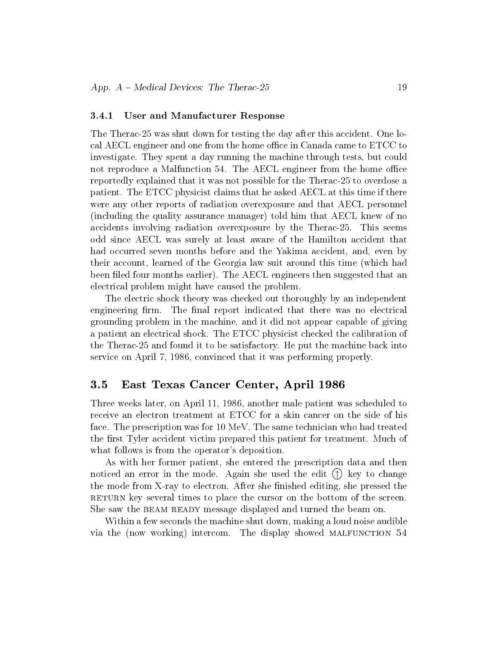#### 3.4.1 User and Manufacturer Response

The Therac-25 was shut down for testing the day after this accident. One local AECL engineer and one from the home office in Canada came to ETCC to investigate. They spent a day running the machine through tests, but could not reproduce a Malfunction 54. The AECL engineer from the home office reportedly explained that it was not possible for the Therac-25 to overdose a patient. The ETCC physicist claims that he asked AECL at this time if there were any other reports of radiation overexposure and that AECL personnel (including the quality assurance manager) told him that AECL knew of no accidents involving radiation overexposure by the Therac-25. This seems odd since AECL was surely at least aware of the Hamilton accident that had occurred seven months before and the Yakima accident, and, even by their account, learned of the Georgia law suit around this time (which had been filed four months earlier). The AECL engineers then suggested that an electrical problem might have caused the problem.

The electric shock theory was checked out thoroughly by an independent engineering firm. The final report indicated that there was no electrical grounding problem in themachine, and it did not appear capable of giving a patient an electrical shock. The ETCC physicist checked the calibration of the Therac-25 and found it to be satisfactory. He put the machine back into service on April 7, 1986, convinced that it was performing properly.

## 3.5 East Texas Cancer Center, April 1986

Three weeks later, on April 11, 1986, another male patient was scheduled to receive an electron treatment at ETCC for a skin cancer on the side of his face. The prescription was for 10 MeV. The same technician who had treated the first Tyler accident victim prepared this patient for treatment. Much of what follows is from the operator's deposition.

As with her former patient, she entered the prescription data and then noticed an error in the mode. Again she used the edit  $(\uparrow)$  key to change the mode from X-ray to electron. After she finished editing, she pressed the RETURN key several times to place the cursor on the bottom of the screen. She saw the BEAM READY message displayed and turned the beam on.

Within a few seconds the machine shut down, making a loud noise audible via the (now working) intercom. The display showed MALFUNCTION 54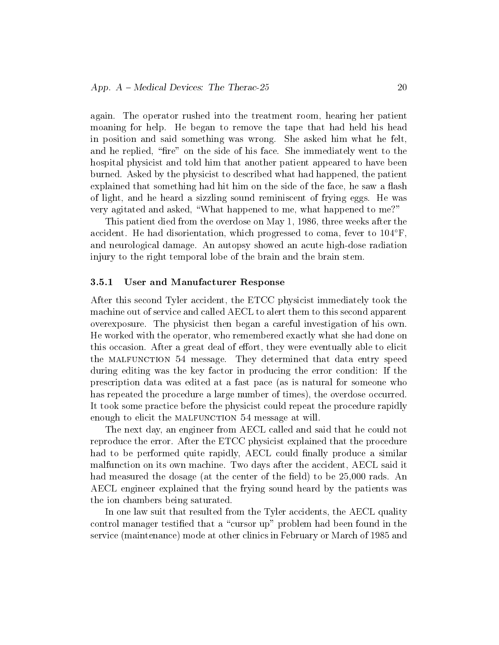again. The operator rushed into the treatment room, hearing her patient moaning for help. He began to remove the tape that had held his head in position and said something was wrong. She asked him what he felt, and he replied, "fire" on the side of his face. She immediately went to the hospital physicist and told him that another patient appeared to have been burned. Asked by the physicist to described what had happened, the patient explained that something had hit him on the side of the face, he saw a flash of light, and he heard a sizzling sound reminiscent of frying eggs. He was very agitated and asked, "What happened to me, what happened to me?"

This patient died from the overdose on May 1, 1986, three weeks after the accident. He had disorientation, which progressed to coma, fever to  $104^{\circ}$ F, and neurological damage. An autopsy showed an acute high-dose radiation injury to the right temporal lobe of the brain and the brain stem.

#### 3.5.1 User and Manufacturer Response

After this second Tyler accident, the ETCC physicist immediately took the machine out of service and called AECL to alert them to this second apparent overexposure. The physicist then began a careful investigation of his own. He worked with the operator, who remembered exactly what she had done on this occasion. After a great deal of effort, they were eventually able to elicit the malfunction <sup>54</sup> message. They determined that data entry speed during editing was the key factor in producing the error condition: If the prescription data was edited at a fast pace (as is natural for someone who has repeated the procedure a large number of times), the overdose occurred. It took some practice before the physicist could repeat the procedure rapidly enough to elicit the MALFUNCTION 54 message at will.

The next day, an engineer from AECL called and said that he could not reproduce the error. After the ETCC physicist explained that the procedure had to be performed quite rapidly, AECL could finally produce a similar malfunction on its own machine. Two days after the accident, AECL said it had measured the dosage (at the center of the field) to be 25,000 rads. An AECL engineer explained that the frying sound heard by the patients was the ion chambers being saturated.

In one law suit that resulted from the Tyler accidents, the AECL quality control manager testified that a "cursor up" problem had been found in the service (maintenance) mode at other clinics in February or March of 1985 and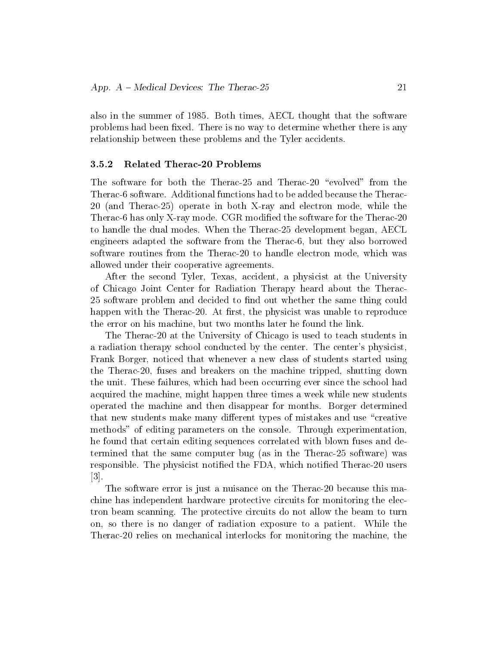also in the summer of 1985. Both times, AECL thought that the software problems had been fixed. There is no way to determine whether there is any relationship between these problems and the Tyler accidents.

#### 3.5.2 Related Therac-20 Problems

The software for both the Therac-25 and Therac-20 "evolved" from the Therac-6 software. Additional functions had to be added because the Therac-20 (and Therac-25) operate in both X-ray and electron mode, while the Therac-6 has only X-ray mode. CGR modied the software for the Therac-20 to handle the dual modes. When the Therac-25 development began, AECL engineers adapted the software from the Therac-6, but they also borrowed software routines from the Therac-20 to handle electron mode, which was allowed under their cooperative agreements.

After the second Tyler, Texas, accident, a physicist at the University of Chicago Joint Center for Radiation Therapy heard about the Therac-25 software problem and decided to find out whether the same thing could happen with the Therac-20. At first, the physicist was unable to reproduce the error on his machine, but two months later he found the link.

The Therac-20 at the University of Chicago is used to teach students in a radiation therapy school conducted by the center. The center's physicist, Frank Borger, noticed that whenever a new classof students started using the Therac-20, fuses and breakers on the machine tripped, shutting down the unit. These failures, which had been occurring ever since the school had acquired the machine, might happen three times a week while new students operated the machine and then disappear for months. Borger determined that new students make many different types of mistakes and use "creative" methods" of editing parameters on the console. Through experimentation, he found that certain editing sequences correlated with blown fuses and determined that the same computer bug (as in the Therac-25 software) was responsible. The physicist notified the FDA, which notified Therac-20 users  $|3|$ .

The software error is just a nuisance on the Therac-20 because this machine has independent hardware protective circuits for monitoring the electron beam scanning. The protective circuits do not allow the beam to turn on, so there is no danger of radiation exposure to a patient. While the Therac-20 relies on mechanical interlocks for monitoring the machine, the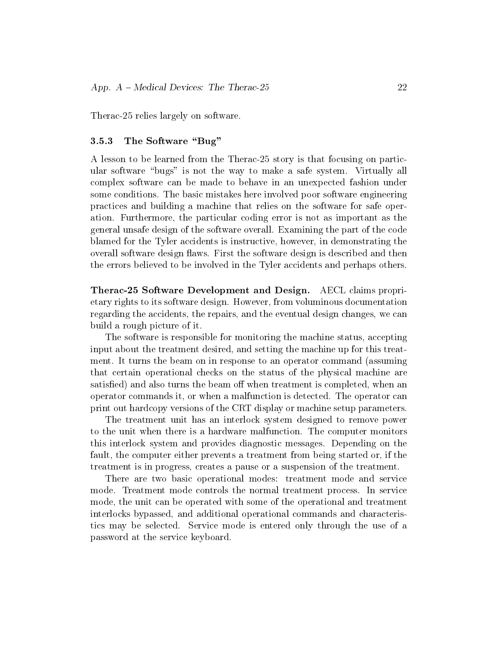Therac-25 relies largely on software.

### 3.5.3 The Software "Bug"

A lesson to be learned from the Therac-25 story is that focusing on particular software \bugs" is not the way to make a safe system. Virtually all complex software can be made to behave in an unexpected fashion under some conditions. The basic mistakes here involved poor software engineering practices and building a machine that relies on the software for safe operation. Furthermore, the particular coding error is not as important as the general unsafe design of the software overall. Examining the part of the code blamed for the Tyler accidents is instructive, however, in demonstrating the overall software design flaws. First the software design is described and then the errors believed to be involved in the Tyler accidents and perhaps others.

Therac-25 Software Development and Design. AECL claims proprietary rights to its software design. However, from voluminous documentation regarding the accidents, the repairs, and the eventual design changes, we can build a rough picture of it.

The software is responsible for monitoring the machine status, accepting input about the treatment desired, and setting the machine up for this treatment. It turns the beam on in response to an operator command (assuming that certain operational checks on the status of the physical machine are satisfied) and also turns the beam off when treatment is completed, when an operator commands it, or when a malfunction is detected. The operator can print out hardcopy versions of the CRT display or machine setup parameters.

The treatment unit has an interlock system designed to remove power to the unit when there is a hardware malfunction. The computer monitors this interlock system and provides diagnostic messages. Depending on the fault, the computer either prevents a treatment from being started or, if the treatment is in progress, creates a pause or a suspension of the treatment.

There are two basic operational modes: treatment mode and service mode. Treatment mode controls the normal treatment process. In service mode, the unit can be operated with some of the operational and treatment interlocks bypassed, and additional operational commands and characteristics may be selected. Service mode is entered only through the use of a password at the service keyboard.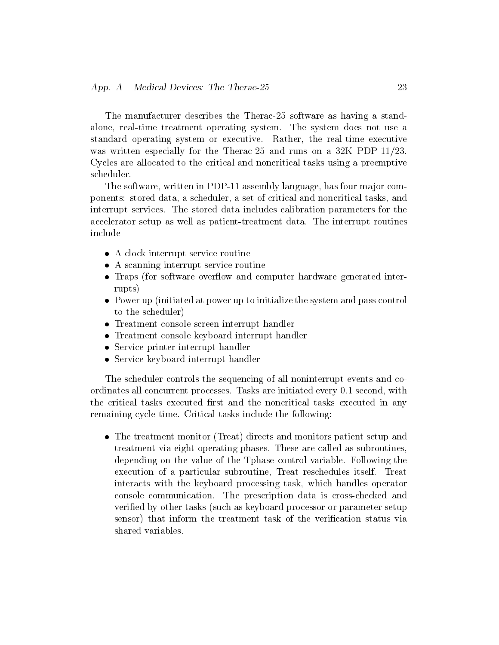The manufacturer describes the Therac-25 software as having a standalone, real-time treatment operating system. The system does not use a standard operating system or executive. Rather, the real-time executive was written especially for the Therac-25 and runs on a 32K PDP-11/23. Cycles are allocated to the critical and noncritical tasks using a preemptive scheduler.

The software, written in PDP-11 assembly language, has four ma jor components: stored data, a scheduler, a set of critical and noncritical tasks, and interrupt services. The stored data includes calibration parameters for the accelerator setup as well as patient-treatment data. The interrupt routines include

- A clock interviewed in the clock intervention of the contract of the contract of the contract of the contract o
- a scanning interrupt service routine routines.
- Traps (for software over
ow and computer hardware generated interrupts)
- Power up (initiated at power up to initialize the system and pass control to the scheduler)
- Treatment console screen interrupt handler
- Treatment console keyboard interrupt handler
- Service printer interrupt handler
- Service keyboard interrupt handler

The scheduler controls the sequencing of all noninterrupt events and coordinates all concurrent processes. Tasks are initiated every 0.1 second, with the critical tasks executed first and the noncritical tasks executed in any remaining cycle time. Critical tasks include the following:

 The treatment monitor (Treat) directs and monitors patient setup and treatment via eight operating phases. These are called as subroutines, depending on the value of the Tphase control variable. Following the execution of a particular subroutine, Treat reschedules itself. Treat interacts with the keyboard processing task, which handles operator console communication. The prescription data is cross-checked and veried by other tasks (such as keyboard processor or parameter setup sensor) that inform the treatment task of the verification status via shared variables.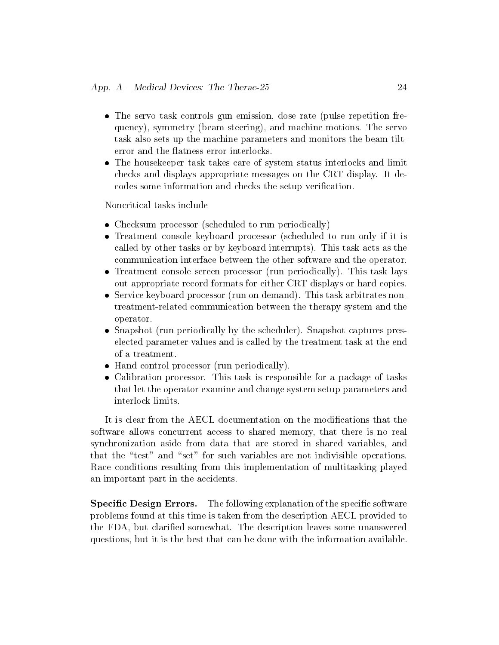- The servo task controls gun emission, dose rate (pulse repetition frequency), symmetry (beam steering), and machine motions. The servo task also sets up the machine parameters and monitors the beam-tilterror and the flatness-error interlocks.
- The first task the system status interlocks interlocks and limit interlocks and limit interlocks and limit checks and displays appropriate messages on the CRT display. It decodes some information and checks the setup verication.

Noncritical tasks include

- Checksum processor (scheduled to run periodically)
- Treatment console keyboard processor (scheduled to run only if it is called by other tasks or by keyboard interrupts). This task acts as the communication interface between the other software and the operator.
- Treatment console screen processor (run periodically). This task lays out appropriate record formats for either CRT displays or hard copies.
- Service keyboard processor (run on demand). This task arbitrates nontreatment-related communication between the therapy system and the operator.
- Snapshot (run periodically by the scheduler). Snapshot captures preselected parameter values and is called by the treatment task at the end of a treatment.
- Hand control processor (run periodically).
- Calibration processor. This task is responsible for a package of tasks that let the operator examine and change system setup parameters and interlock limits.

It is clear from the AECL documentation on the modications that the software allows concurrent access to shared memory, that there is no real synchronization aside from data that are stored in shared variables, and that the "test" and "set" for such variables are not indivisible operations. Race conditions resulting from this implementation of multitasking played an important part in the accidents.

**Specific Design Errors.** The following explanation of the specific software problems found at this time is taken from the description AECL provided to the FDA, but claried somewhat. The description leaves some unanswered questions, but it is the best that can be done with the information available.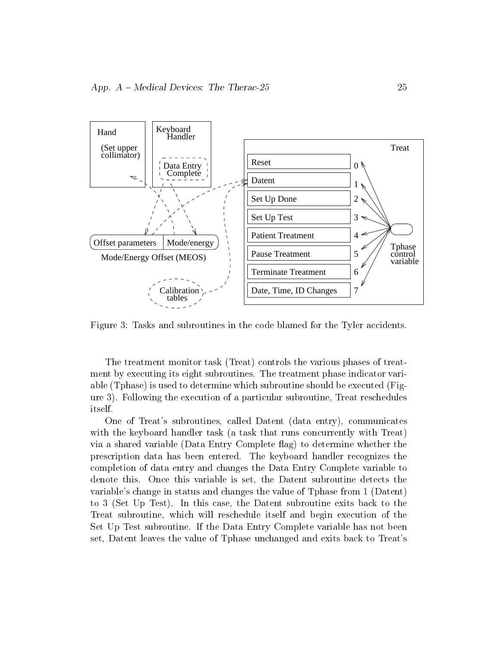

Figure 3: Tasks and subroutines in the code blamed for the Tyler accidents.

The treatment monitor task (Treat) controls the various phases of treatment by executing its eight subroutines. The treatment phase indicator variable (Tphase) is used to determine which subroutine should be executed (Figure 3). Following the execution of a particular subroutine, Treat reschedules itself.

One of Treat's subroutines, called Datent (data entry), communicates with the keyboard handler task (a task that runs concurrently with Treat) via a shared variable (Data Entry Complete ag) to determine whether the prescription data has been entered. The keyboard handler recognizes the completion of data entry and changes the Data Entry Complete variable to denote this. Once this variable is set, the Datent subroutine detects the variable's change in status and changes the value of Tphase from 1 (Datent) to 3 (Set Up Test). In this case, the Datent subroutine exits back to the Treat subroutine, which will reschedule itself and begin execution of the Set Up Test subroutine. If the Data Entry Complete variable has not been set, Datent leaves the value of Tphase unchanged and exits back to Treat's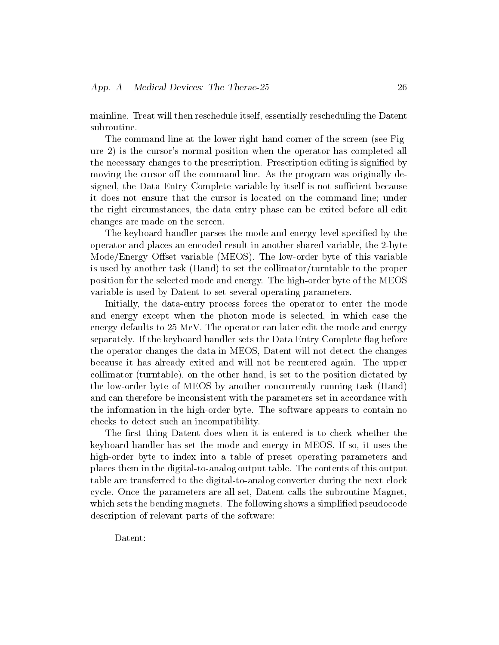mainline. Treat will then reschedule itself, essentially rescheduling the Datent subroutine.

The command line at the lower right-hand corner of the screen (see Figure 2) is the cursor's normal position when the operator has completed all the necessary changes to the prescription. Prescription editing is signied by moving the cursor off the command line. As the program was originally designed, the Data Entry Complete variable by itself is not sufficient because it does not ensure that the cursor is located on the command line; under the right circumstances, the data entry phase can be exited before all edit changes are made on the screen.

The keyboard handler parses the mode and energy level specified by the operator and places an encoded result in another shared variable, the 2-byte Mode/Energy Offset variable (MEOS). The low-order byte of this variable is used by another task (Hand) to set the collimator/turntable to the proper position for the selected mode and energy. The high-order byte of the MEOS variable is used by Datent to set several operating parameters.

Initially, the data-entry process forces the operator to enter the mode and energy except when the photon mode is selected, in which case the energy defaults to 25 MeV. The operator can later edit the mode and energy separately. If the keyboard handler sets the Data Entry Complete flag before the operator changes the data in MEOS, Datent will not detect the changes because it has already exited and willnot be reentered again. The upper collimator (turntable), on the other hand, is set to the position dictated by the low-order byte of MEOS by another concurrently running task (Hand) and can therefore be inconsistent with the parameters set in accordance with the information in the high-order byte. The software appears to contain no checks to detect such an incompatibility.

The first thing Datent does when it is entered is to check whether the keyboard handler has set the mode and energy in MEOS. If so, it uses the high-order byte to index into a table of preset operating parameters and places them in the digital-to-analog output table. The contents of this output table are transferred to the digital-to-analog converter during the next clock cycle. Once the parameters are all set, Datent calls the subroutine Magnet, which sets the bending magnets. The following shows a simplified pseudocode description of relevant parts of the software:

Datent: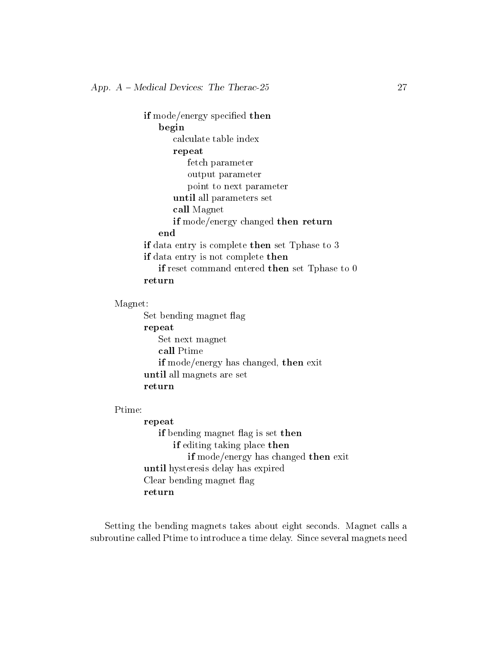if mode/energy specified then begin calculate table index repeat fetch parameter output parameter point to next parameter until all parameters set call Magnet if mode/energy changed then return end if data entry is complete then set Tphase to 3 if data entry is not complete then if reset command entered then set Tphase to 0 return

Magnet:

Set bending magnet 
ag repeat Set next magnet call Ptime if mode/energy has changed, then exit until all magnets are set return

#### Ptime:

repeat if bending magnet flag is set then if editing taking place then if mode/energy has changed then exit until hysteresis delay has expired Clear bending magnet 
ag

Setting the bending magnets takes about eight seconds. Magnet calls a subroutine called Ptime to introduce a time delay. Since several magnets need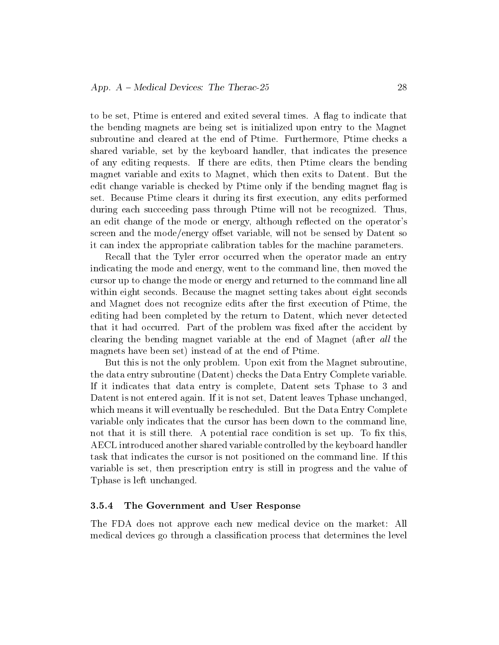to be set, Ptime is entered and exited several times. A flag to indicate that the bending magnets are being set is initialized upon entry to the Magnet subroutine and cleared at the end of Ptime. Furthermore, Ptime checks a shared variable, set by the keyboard handler, that indicates the presence of any editing requests. If there are edits, then Ptime clears the bending magnet variable and exits to Magnet, which then exits to Datent. But the edit change variable is checked by Ptime only if the bending magnet flag is set. Because Ptime clears it during its first execution, any edits performed during each succeeding pass through Ptime will not be recognized. Thus, an edit change of the mode or energy, although reflected on the operator's screen and the mode/energy offset variable, will not be sensed by Datent so it can index the appropriate calibration tables for the machine parameters.

Recall that the Tyler error occurred when the operator made an entry indicating the mode and energy, went to the command line, then moved the cursor up to change the mode or energy and returned to the command line all within eight seconds. Because the magnet setting takes about eight seconds and Magnet does not recognize edits after the first execution of Ptime, the editing had been completed by the return to Datent, which never detected that it had occurred. Part of the problem was fixed after the accident by clearing the bending magnet variable at the end of Magnet (after all the magnets have been set) instead of at the end of Ptime.

But this is not the only problem. Upon exit from the Magnet subroutine, the data entry subroutine (Datent) checks the Data Entry Complete variable. If it indicates that data entry is complete, Datent sets Tphase to 3 and Datent is not entered again. If it is not set, Datent leaves Tphase unchanged, which means it will eventually be rescheduled. But the Data Entry Complete variable only indicates that the cursor has been down to the command line, not that it is still there. A potential race condition is set up. To fix this, AECL introduced another shared variable controlled by the keyboard handler task that indicates the cursor is not positioned on the command line. If this variable is set, then prescription entry is still in progress and the value of Tphase is left unchanged.

### 3.5.4 The Government and User Response

The FDA does not approve each new medical device on the market: All medical devices go through a classication process that determines the level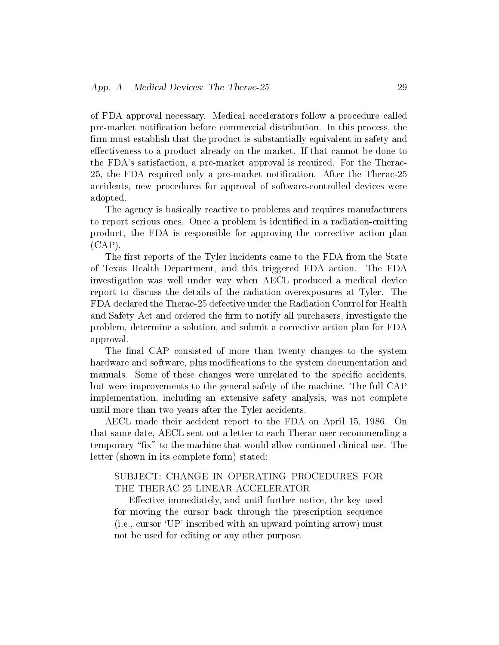of FDA approval necessary. Medical accelerators follow a procedure called pre-market notication before commercial distribution. In this process, the firm must establish that the product is substantially equivalent in safety and effectiveness to a product already on the market. If that cannot be done to the FDA's satisfaction, a pre-market approval is required. For the Therac-25, the FDA required only a pre-market notication. After the Therac-25 accidents, new procedures for approval of software-controlled devices were adopted.

The agency is basically reactive to problems and requires manufacturers to report serious ones. Once a problem is identied in a radiation-emitting product, the FDA is responsible for approving the corrective action plan  $(CAP)$ .

The first reports of the Tyler incidents came to the FDA from the State of Texas Health Department, and this triggered FDA action.The FDA investigation was well under way when AECL produced a medical device report to discuss the details of the radiation overexposures at Tyler. The FDA declared the Therac-25 defective under the Radiation Control for Health and Safety Act and ordered the firm to notify all purchasers, investigate the problem, determine a solution, and submit a corrective action plan for FDA approval.

The final CAP consisted of more than twenty changes to the system hardware and software, plus modifications to the system documentation and manuals. Some of these changes were unrelated to the specific accidents. but were improvements to the general safety of the machine. The full CAP implementation, including an extensive safety analysis, was not complete until more than two years after the Tyler accidents.

AECL made their accident report to the FDA on April 15, 1986. On that same date, AECL sent out a letter to each Therac user recommending a temporary "fix" to the machine that would allow continued clinical use. The letter (shown in its complete form) stated:

### SUBJECT: CHANGE IN OPERATING PROCEDURES FOR THE THERAC 25 LINEAR ACCELERATOR

Effective immediately, and until further notice, the key used for moving the cursor back through the prescription sequence (i.e., cursor `UP' inscribed with an upward pointing arrow) must not be used for editing or any other purpose.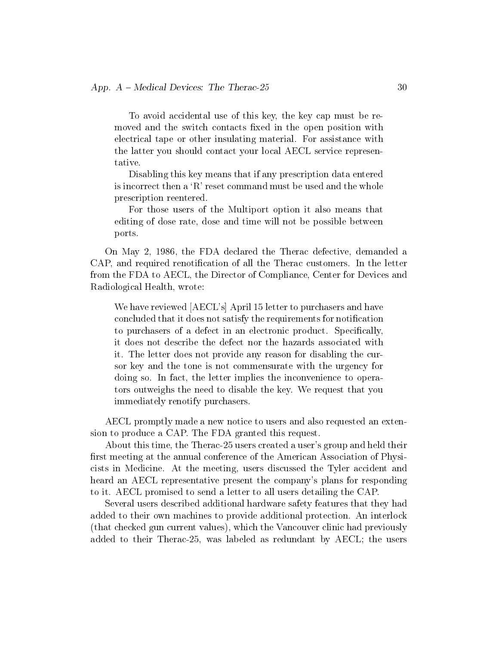To avoid accidental use of this key, the key cap must be removed and the switch contacts fixed in the open position with electrical tape or other insulating material. For assistance with the latter you should contact your local AECL service representative.

Disabling this key means that if any prescription data entered is incorrect then a `R' reset command must be used and the whole prescription reentered.

For those users of the Multiport option it also means that editing of dose rate, dose and time will not be possible between ports.

On May 2, 1986, the FDA declared the Therac defective, demanded a CAP, and required renotication of all the Therac customers. In the letter from the FDA to AECL, the Director of Compliance, Center for Devices and Radiological Health, wrote:

We have reviewed [AECL's] April 15 letter to purchasers and have concluded that it does not satisfy the requirements for notification to purchasers of a defect in an electronic product. Specifically, it does not describe the defect nor the hazards associated with it. The letter does not provide any reason for disabling the cursor key and the tone is not commensurate with the urgency for doing so. In fact, the letter implies the inconvenience to operators outweighs the need to disable the key. We request that you immediately renotify purchasers.

AECL promptly made a new notice to users and also requested an extension to produce a CAP. The FDA granted this request.

About this time, the Therac-25 users created a user's group and held their first meeting at the annual conference of the American Association of Physicists in Medicine. At the meeting, users discussed the Tyler accident and heard an AECL representative present the company's plans for responding to it. AECL promised to send a letter to all users detailing the CAP.

Several users described additional hardware safety features that they had added to their own machines to provide additional protection. An interlock (that checked gun current values), which the Vancouver clinic had previously added to their Therac-25, was labeled as redundant by AECL; the users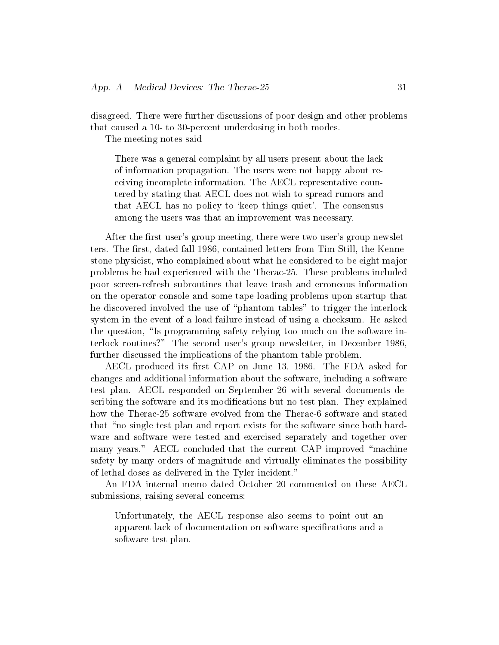disagreed. There were further discussions of poor design and other problems that caused a 10- to 30-percent underdosing in both modes.

The meeting notes said

There was a general complaint by all users present about the lack of information propagation. The users were not happy about receiving incomplete information. The AECL representative countered by stating that AECL does not wish to spread rumors and that AECL has no policy to `keep things quiet'. The consensus among the users was that an improvement was necessary.

After the first user's group meeting, there were two user's group newsletters. The first, dated fall 1986, contained letters from Tim Still, the Kennestone physicist, who complained about what he considered to be eight major problems he had experienced with the Therac-25. These problems included poor screen-refresh subroutines that leave trash and erroneous information on the operator console and some tape-loading problems upon startup that he discovered involved the use of \phantom tables" to trigger the interlock system in the event of a load failure instead of using a checksum. He asked the question, \Is programming safety relying too much on the software interlock routines?" The second user's group newsletter, in December 1986, further discussed the implications of the phantom table problem.

AECL produced its first CAP on June 13, 1986. The FDA asked for changes and additional information about the software, including a software test plan. AECL responded on September 26 with several documents describing the software and its modications but no test plan. They explained how the Therac-25 software evolved from the Therac-6 software and stated that "no single test plan and report exists for the software since both hardware and software were tested and exercised separately and together over many years." AECL concluded that the current CAP improved "machine safety by many orders of magnitude and virtually eliminates the possibility of lethal doses as delivered in the Tyler incident."

An FDA internal memo dated October 20 commented on these AECL submissions, raising several concerns:

Unfortunately, the AECL response also seems to point out an apparent lack of documentation on software specications and a software test plan.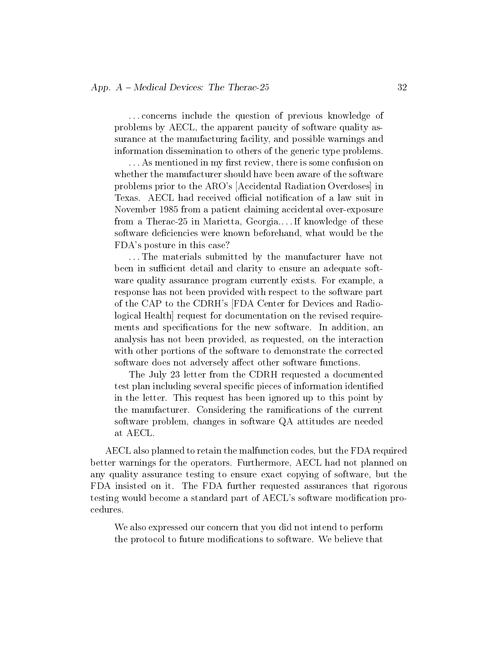### $App. A - Medical Devices: The Therac-25$  32

... concerns include the question of previous knowledge of problems by AECL, the apparent paucity of software quality assurance at the manufacturing facility, and possible warnings and information dissemination to others of the generic type problems.

... As mentioned in my first review, there is some confusion on whether the manufacturer should have been aware of the software problems prior to the ARO's [Accidental Radiation Overdoses] in Texas. AECL had received official notification of a law suit in November 1985 from a patient claiming accidental over-exposure from a Therac-25 in Marietta, Georgia....If knowledge of these software deficiencies were known beforehand, what would be the FDA's posture in this case?

...The materials submitted by the manufacturer have not been in sufficient detail and clarity to ensure an adequate software quality assurance program currently exists. For example, a response has not been provided with respect to the software part of the CAP to the CDRH's [FDA Center for Devices and Radiological Health] request for documentation on the revised requirements and specications for the new software. In addition, an analysis has not been provided, as requested, on the interaction with other portions of the software to demonstrate the corrected software does not adversely affect other software functions.

The July 23 letter from the CDRH requested a documented test plan including several specic pieces of information identied in the letter. This request has been ignored up to this point by the manufacturer. Considering the ramications of the current software problem, changes in software QA attitudes are needed at AECL.

AECL also planned to retain the malfunction codes, but the FDA required better warnings for the operators. Furthermore, AECL had not planned on any quality assurance testing to ensure exact copying of software, but the FDA insisted on it. The FDA further requested assurances that rigorous testing would become a standard part of AECL's software modication procedures.

We also expressed our concern that you did not intend to perform the protocol to future modications to software. We believe that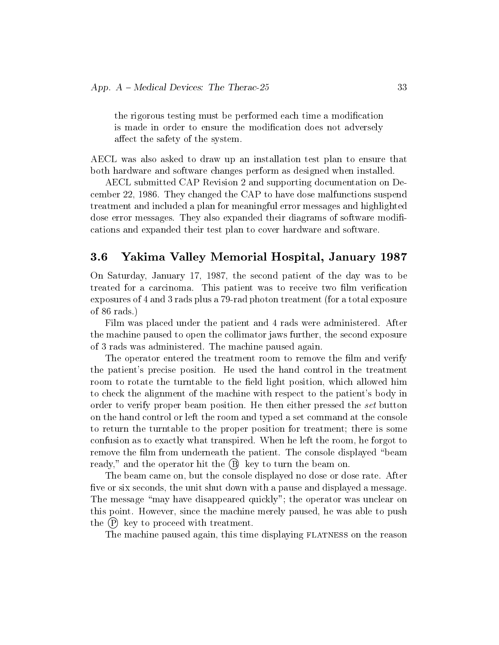the rigorous testing must be performed each time a modication is made in order to ensure the modication does not adversely affect the safety of the system.

AECL was also asked to draw up an installation test plan to ensure that both hardware and software changes perform as designed when installed.

AECL submitted CAP Revision 2 and supporting documentation on December 22, 1986. They changed the CAP to have dose malfunctions suspend treatment and included a plan for meaningful error messages and highlighted dose error messages. They also expanded their diagrams of software modifications and expanded their test plan to cover hardware and software.

## 3.6 Yakima Valley Memorial Hospital, January 1987

On Saturday, January 17,1987, the second patient of the day was to be treated for a carcinoma. This patient was to receive two film verification exposures of 4 and 3 rads plus a 79-rad photon treatment (for a total exposure of 86 rads.)

Film was placed under the patient and 4 rads were administered. After the machine paused to open the collimator jaws further, the second exposure of 3 rads was administered. The machine paused again.

The operator entered the treatment room to remove the film and verify the patient's precise position. He used the hand control in the treatment room to rotate the turntable to the field light position, which allowed him to check the alignment of the machine with respect to the patient's body in order to verify proper beam position. He then either pressed the set button on the hand control or left the room and typed a set command at the console to return the turntable to the proper position for treatment; there is some confusion as to exactly what transpired. When he left the room, he forgot to remove the film from underneath the patient. The console displayed "beam ready," and the operator hit the  $(B)$  key to turn the beam on.

The beam came on, but the console displayed no dose or dose rate. After five or six seconds, the unit shut down with a pause and displayed a message. The message "may have disappeared quickly"; the operator was unclear on this point. However, since the machine merely paused, he was able to push the (P) key to proceed with treatment.

The machine paused again, this time displaying FLATNESS on the reason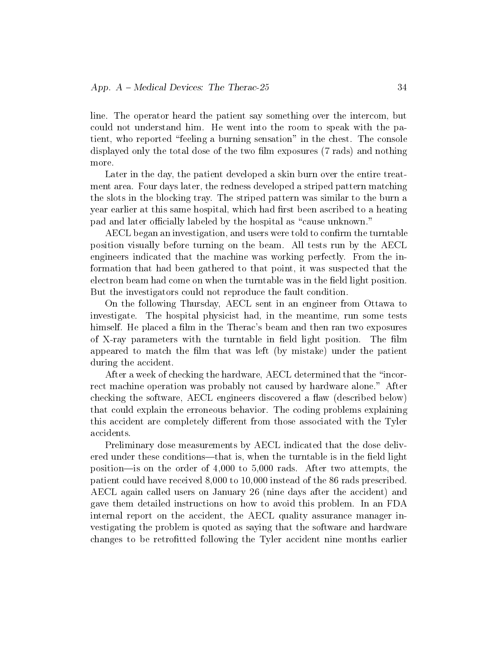line. The operator heard the patient say something over the intercom, but could not understand him. He went into the room to speak with the patient, who reported \feeling a burning sensation" in the chest. The console displayed only the total dose of the two film exposures (7 rads) and nothing more.

Later in the day, the patient developed a skin burn over the entire treatment area. Four days later, the redness developed a striped pattern matching the slots in the blocking tray. The striped pattern was similar to the burn a year earlier at this same hospital, which had first been ascribed to a heating pad and later officially labeled by the hospital as "cause unknown."

AECL began an investigation, and users were told to confirm the turntable position visually before turning on the beam. All tests run by the AECL engineers indicated that the machine was working perfectly. From the information that had been gathered to that point, it was suspected that the electron beam had come on when the turntable was in the field light position But the investigators could not reproduce the fault condition.

On the following Thursday, AECL sent in an engineer from Ottawa to investigate. The hospital physicist had, in the meantime, run some tests himself. He placed a film in the Therac's beam and then ran two exposures of X-ray parameters with the turntable in field light position. The film appeared to match the film that was left (by mistake) under the patient during the accident.

After a week of checking the hardware, AECL determined that the "incorrect machine operation was probably not caused by hardware alone." After checking the software, AECL engineers discovered a flaw (described below) that could explain the erroneous behavior. The coding problems explaining this accident are completely different from those associated with the Tyler accidents.

Preliminary dose measurements by AECL indicated that the dose delivered under these conditions—that is, when the turntable is in the field light position—is on the order of  $4,000$  to 5,000 rads. After two attempts, the patient could have received 8,000 to 10,000 instead of the 86 rads prescribed. AECL again called users on January 26 (nine days after the accident) and gave them detailed instructions on how to avoid this problem. In an FDA internal report on the accident, the AECL quality assurance manager investigating the problem is quoted assaying that the software and hardware changes to be retrofitted following the Tyler accident nine months earlier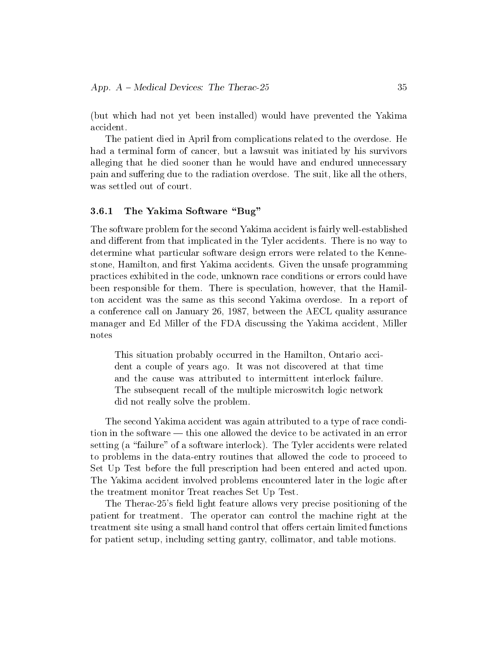(but which had not yet been installed) would have prevented the Yakima accident.

The patient died in April from complications related to the overdose. He had a terminal form of cancer, but a lawsuit was initiated by his survivors alleging that he died sooner than he would have and endured unnecessary pain and suffering due to the radiation overdose. The suit, like all the others, was settled out of court.

### 3.6.1 The Yakima Software "Bug"

The software problem for the second Yakima accident is fairly well-established and different from that implicated in the Tyler accidents. There is no way to determine what particular software design errors were related to the Kennestone, Hamilton, and first Yakima accidents. Given the unsafe programming practices exhibited in the code, unknown race conditions or errors could have been responsible for them. There is speculation, however, that the Hamilton accident was the same as this second Yakima overdose. In a report of a conference call on January 26, 1987, between the AECL quality assurance manager and Ed Miller of the FDA discussing the Yakima accident, Miller notes

This situation probably occurred in the Hamilton, Ontario accident a couple of years ago. It was not discovered at that time and the cause was attributed to intermittent interlock failure. The subsequent recall of the multiple microswitch logic network did not really solve the problem.

The second Yakima accident was again attributed to a type of race condition in the software — this one allowed the device to be activated in an error setting (a "failure" of a software interlock). The Tyler accidents were related to problems in the data-entry routines that allowed the code to proceed to Set Up Test before the full prescription had been entered and acted upon. The Yakima accident involved problems encountered later in the logic after the treatment monitor Treat reaches Set Up Test.

The Therac-25's field light feature allows very precise positioning of the patient for treatment. The operator can control the machine right at the treatment site using a small hand control that offers certain limited functions for patient setup, including setting gantry, collimator, and table motions.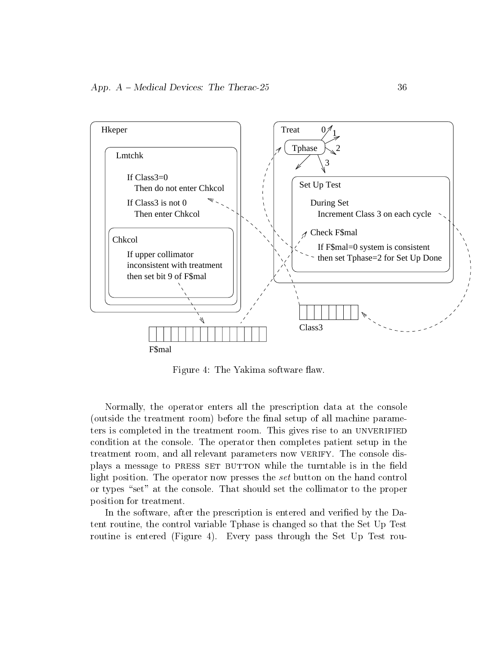

Figure 4: The Yakima software flaw.

Normally, the operator enters all the prescription data at the console (outside the treatment room) before the final setup of all machine parameters is completed in the treatment room. This gives rise to an UNVERIFIED condition at the console. The operator then completes patient setup in the treatment room, and all relevant parameters now VERIFY. The console displays a message to PRESS SET BUTTON while the turntable is in the field light position. The operator now presses the set button on the hand control or types "set" at the console. That should set the collimator to the proper position for treatment.

In the software, after the prescription is entered and verified by the Datent routine, the control variable Tphase is changed so that the Set Up Test routine is entered (Figure 4). Every pass through the Set Up Test rou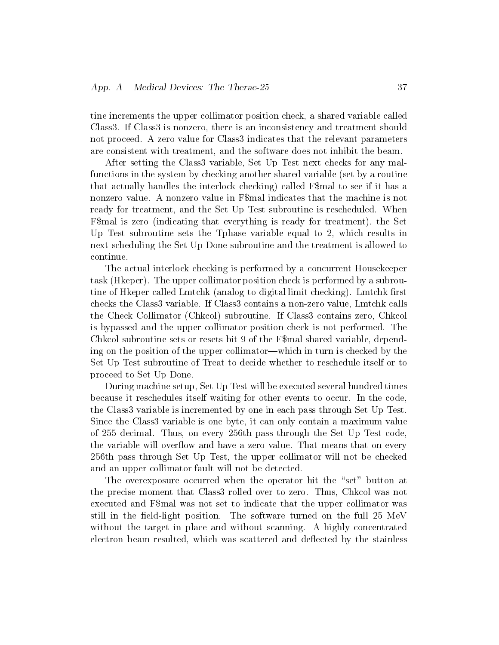tine increments the upper collimator position check, a shared variable called Class3. If Class3 is nonzero, there is an inconsistency and treatment should not proceed. A zero value for Class3 indicates that the relevant parameters are consistent with treatment, and the software does not inhibit the beam.

After setting the Class3 variable, Set Up Test next checks for any malfunctions in the system by checking another shared variable (set by a routine that actually handles the interlock checking) called F\$mal to see ifit has a nonzero value. A nonzero value in F\$mal indicates that the machine is not ready for treatment, and the Set Up Test subroutine is rescheduled. When F\$mal is zero (indicating that everything is ready for treatment), the Set Up Test subroutine sets the Tphase variable equal to 2, which results in next scheduling the Set Up Done subroutine and the treatment is allowed to continue.

The actual interlock checking is performed by a concurrent Housekeeper task (Hkeper). The upper collimator position check is performed by a subroutine of Hkeper called Lmtchk (analog-to-digital limit checking). Lmtchk first checks the Class3 variable. If Class3 contains a non-zero value, Lmtchk calls the Check Collimator (Chkcol) subroutine. If Class3 contains zero, Chkcol is bypassed and the upper collimator position check is not performed. The Chkcol subroutine sets or resets bit 9 of the F\$mal shared variable, depending on the position of the upper collimator—which in turn is checked by the Set Up Test subroutine of Treat to decide whether to reschedule itself or to proceed to Set Up Done.

During machine setup, Set Up Test will be executed several hundred times because it reschedules itself waiting for other events to occur. In the code, the Class3 variable is incremented by one in each pass through Set Up Test. Since the Class3 variable is one byte, it can only contain a maximum value of 255 decimal. Thus, on every 256th pass through the Set Up Test code, the variable will overflow and have a zero value. That means that on every 256th pass through Set Up Test, the upper collimator will not be checked and an upper collimator fault will not be detected.

The overexposure occurred when the operator hit the "set" button at the precise moment that Class3 rolled over to zero. Thus, Chkcol was not executed and F\$mal was not set to indicate that the upper collimator was still in the field-light position. The software turned on the full 25 MeV without the target in place and without scanning. A highly concentrated electron beam resulted, which was scattered and deflected by the stainless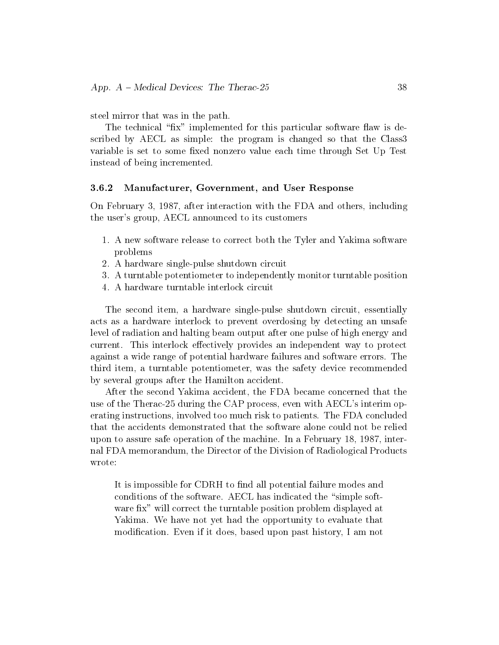steel mirror that was in the path.

The technical "fix" implemented for this particular software flaw is described by AECL as simple: the program is changed so that the Class3 variable is set to some fixed nonzero value each time through Set Up Test instead of being incremented.

#### 3.6.2 Manufacturer, Government, and User Response

On February 3, 1987, after interaction with the FDA and others, including the user's group, AECL announced to its customers

- 1. A new software release to correct both the Tyler and Yakima software problems
- 2. A hardware single-pulse shutdown circuit
- 3. A turntable potentiometer to independently monitor turntable position
- 4. A hardware turntable interlock circuit

The second item, a hardware single-pulse shutdown circuit, essentially acts as a hardware interlock to prevent overdosing by detecting an unsafe level of radiation and halting beam output after one pulse of high energy and current. This interlock effectively provides an independent way to protect against a wide range of potential hardware failures and software errors. The third item, a turntable potentiometer, was the safety device recommended by several groups after the Hamilton accident.

After the second Yakima accident, the FDA became concerned that the use of the Therac-25 during the CAP process, even with AECL's interim operating instructions, involved too much risk to patients. The FDA concluded that the accidents demonstrated that the software alone could not be relied upon to assure safe operation of the machine. In a February 18, 1987, internal FDA memorandum, the Director of the Division of Radiological Products wrote:

It is impossible for CDRH to find all potential failure modes and conditions of the software. AECL has indicated the "simple software fix" will correct the turntable position problem displayed at Yakima. We have not yet had the opportunity to evaluate that modication. Even if it does, based upon past history, I am not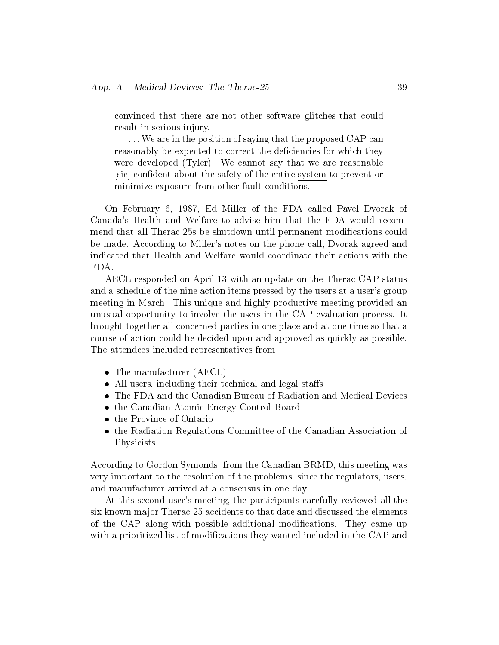convinced that there are not other software glitches that could result in serious injury.

... We are in the position of saying that the proposed CAP can reasonably be expected to correct the deficiencies for which they were developed (Tyler). We cannot say that we are reasonable [sic] condent about the safety of the entire system to prevent or minimize exposure from other fault conditions.

On February 6, 1987, Ed Miller of the FDA called Pavel Dvorak of Canada's Health and Welfare to advise him that the FDA would recommend that all Therac-25s be shutdown until permanent modifications could be made. According to Miller's notes on the phone call, Dvorak agreed and indicated that Health and Welfare would coordinate their actions with the FDA.

AECL responded on April 13 with an update on the Therac CAP status and a schedule of the nine action items pressed by the users at a user's group meeting in March. This unique and highly productive meeting provided an unusual opportunity to involve the users in the CAP evaluation process. It brought together all concerned parties in one place and at one time so that a course of action could be decided upon and approved as quickly as possible. The attendees included representatives from

- $T$  is a manufacturer (ACL)  $T$  and  $T$
- All users, including their technical and legal stas
- 
- $t =$  Canadian Atomic Energy Control Board Board
- 
- the Radiation Regulations Committee of the Canadian Association of Physicists

According to Gordon Symonds, from the Canadian BRMD, this meeting was very important to the resolution of the problems, since the regulators, users, and manufacturer arrived at a consensus in one day.

At this second user's meeting, the participants carefully reviewed all the six known major Therac-25 accidents to that date and discussed the elements of the CAP along with possible additional modications. They came up with a prioritized list of modifications they wanted included in the CAP and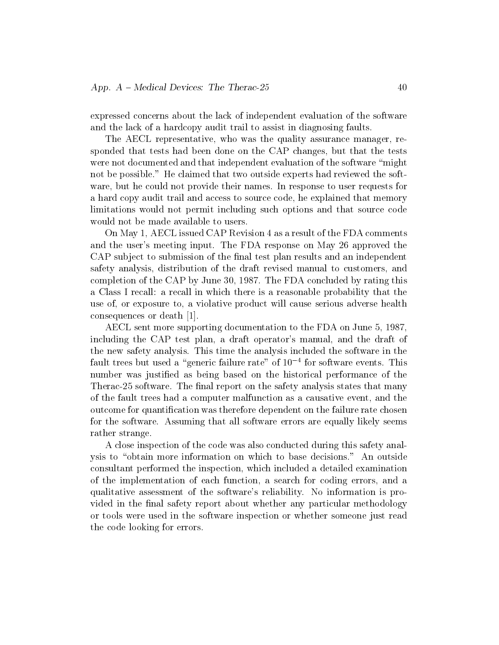expressed concerns about the lack of independent evaluation of the software and the lack of a hardcopy audit trail to assist in diagnosing faults.

The AECL representative, who was the quality assurance manager, responded that tests had been done on the CAP changes, but that the tests were not documented and that independent evaluation of the software "might" not be possible." He claimed that two outside experts had reviewed the software, but he could not provide their names. In response to user requests for a hard copy audit trail and access to source code, he explained that memory limitations would not permit including such options and that source code would not be made available to users.

On May 1, AECL issued CAP Revision 4 as a result of the FDA comments and the user's meeting input. The FDA response on May 26 approved the CAP subject to submission of the final test plan results and an independent safety analysis, distribution of the draft revised manual to customers, and completion of the CAP by June 30, 1987. The FDA concluded by rating this a Class I recall: a recall in which there is a reasonable probability that the use of, or exposure to, a violative product will cause serious adverse health consequences or death [1].

AECL sent more supporting documentation to the FDA on June 5, 1987, including the CAP test plan, a draft operator's manual, and the draft of the new safety analysis. This time the analysis included the software in the fault trees but used a \generic failure rate" of 104 for software events. This number was justied as being based on the historical performance of the Therac-25 software. The final report on the safety analysis states that many of the fault trees had a computer malfunction asa causative event, and the outcome for quantication was therefore dependent on the failure rate chosen for the software. Assuming that all software errors are equally likely seems rather strange.

A close inspection of the code was also conducted during this safety analysis to "obtain more information on which to base decisions." An outside consultant performed the inspection, which included a detailed examination of the implementation of each function, a search for coding errors, and a qualitative assessment of the software's reliability. No information is provided in the final safety report about whether any particular methodology or tools were used in the software inspection or whether someone just read the code looking for errors.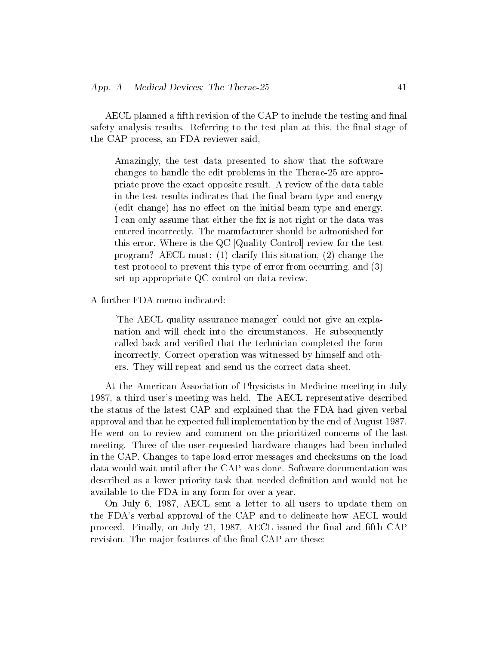AECL planned a fifth revision of the CAP to include the testing and final safety analysis results. Referring to the test plan at this, the final stage of the CAP process, an FDA reviewer said,

Amazingly, the test data presented to show that the software changes to handle the edit problems in the Therac-25 are appropriate prove the exact opposite result. A review of the data table in the test results indicates that the final beam type and energy (edit change) has no effect on the initial beam type and energy. I can only assume that either the fix is not right or the data was entered incorrectly. The manufacturer should be admonished for this error. Where is the QC [Quality Control] review for the test program? AECL must: (1) clarify this situation, (2) change the test protocol to prevent this type of error from occurring, and (3) set up appropriate QC control on data review.

A further FDA memo indicated:

[The AECL quality assurance manager] could not give an explanation and will check into the circumstances. He subsequently called back and veried that the technician completed the form incorrectly. Correct operation was witnessed by himself and others. They will repeat and send us the correct data sheet.

At the American Association of Physicists in Medicine meeting in July 1987, a third user's meeting was held. The AECL representative described the status of the latest CAP and explained that the FDA had given verbal approval and that he expected full implementation by the end of August 1987. He went on to review and comment on the prioritized concerns of the last meeting. Three of the user-requested hardware changes had been included in the CAP. Changes to tape load error messages and checksums on the load data would wait until after the CAP was done. Software documentation was described as a lower priority task that needed definition and would not be available to the FDA in any form for over a year.

On July 6, 1987, AECL sent a letter to all users to update them on the FDA's verbal approval of the CAP and to delineate how AECL would proceed. Finally, on July 21, 1987, AECL issued the final and fifth CAP revision. The major features of the final CAP are these: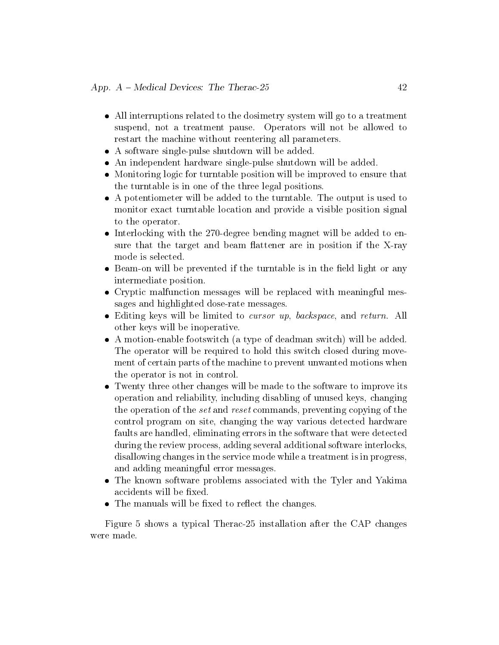- All interruptions related to the dosimetry system will go to a treatment suspend, not a treatment pause. Operators will not be allowed to restart the machine without reentering all parameters.
- $A = \mathbb{R}$  software single-pulse shutdown will be added.
- An independent hardware single-pulse shutdown will be added.
- $M$  is the turntable position will be interesting to ensure the improvement that  $M$ the turntable is in one of the three legal positions.
- A potentiometer will be added to the turntable. The output is used to monitor exact turntable location and provide a visible position signal to the operator.
- Interlocking with the 270-degree bending magnet will be added to ensure that the target and beam flattener are in position if the X-ray mode is selected.
- $B = \{A, \ldots, A\}$ intermediate position.
- Cryptic malfunction messages will be replaced with meaningful messages and highlighted dose-rate messages.
- Editing keys will be limited to cursor up, backspace, and return. All other keys will be inoperative.
- A motion-enable footswitch (a type of deadman switch) will be added. The operator will be required to hold this switch closed during movement of certain parts of the machine to prevent unwanted motions when the operator is not in control.
- Twenty three other changes will be made to the software to improve its operation and reliability, including disabling of unused keys, changing the operation of the set and reset commands, preventing copying of the control program on site, changing the way various detected hardware faults are handled, eliminating errors in the software that were detected during the review process, adding several additional software interlocks, disallowing changes in the service mode while a treatment is in progress, and adding meaningful error messages.
- The known software problems associated with the Tyler and Yakima accidents will be fixed.
- The manuals will be xed to re
ect the changes.

Figure 5 shows a typical Therac-25 installation after the CAP changes were made.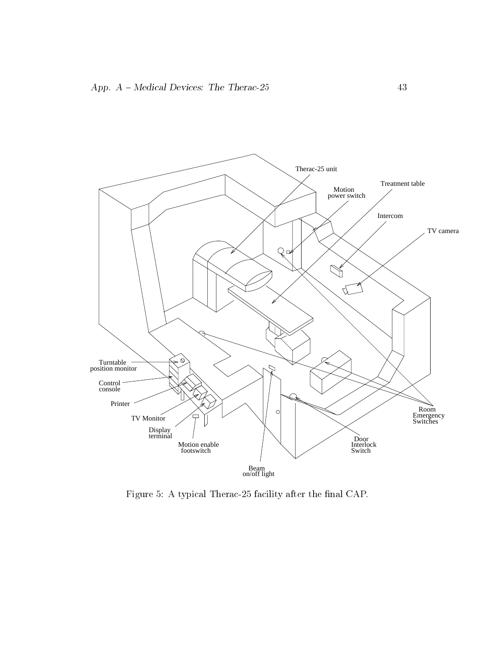

Figure 5: A typical Therac-25 facility after the final CAP.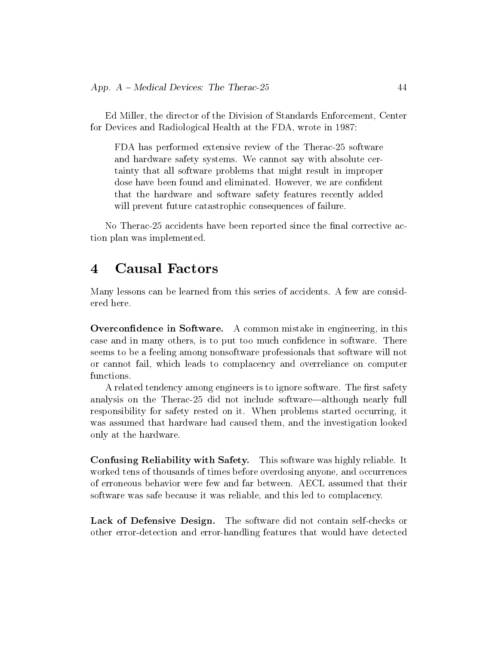Ed Miller, the director of the Division of Standards Enforcement, Center for Devices and Radiological Health at the FDA, wrote in 1987:

FDA has performed extensive review of the Therac-25 software and hardware safety systems. We cannot say with absolute certainty that all software problems that might result in improper dose have been found and eliminated. However, we are confident that the hardware and software safety features recently added will prevent future catastrophic consequences of failure.

No Therac-25 accidents have been reported since the final corrective action plan was implemented.

#### $\overline{4}$  Causal Factors  $\overline{\phantom{a}}$

Many lessons can be learned from this series of accidents. A few are considered here.

Overcondence in Software. A common mistake in engineering, in this case and in many others, is to put too much condence in software. There seems to be a feeling among nonsoftware professionals that software will not or cannot fail, which leads to complacency and overreliance on computer functions.

A related tendency among engineers is to ignore software. The first safety analysis on the Therac-25 did not include software—although nearly full responsibility for safety rested on it. When problems started occurring, it was assumed that hardware had caused them, and the investigation looked only at the hardware.

Confusing Reliability with Safety. This software was highly reliable. It worked tens of thousands of times before overdosing anyone, and occurrences of erroneous behavior were few and far between. AECL assumed that their software was safe because it was reliable, and this led to complacency.

Lack of Defensive Design. The software did not contain self-checks or other error-detection and error-handling features that would have detected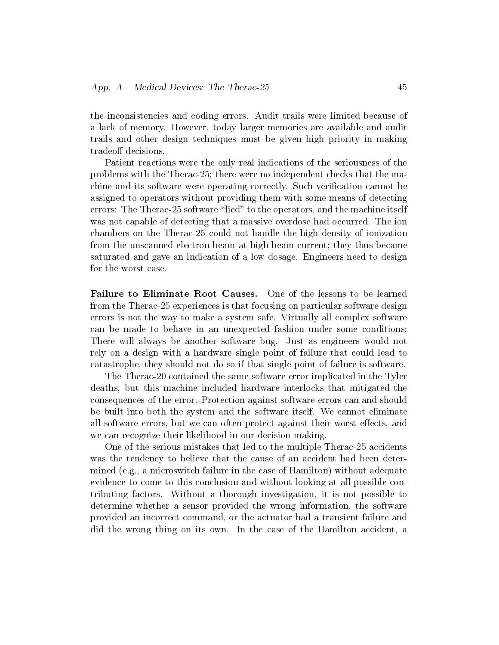the inconsistencies and coding errors. Audit trails were limited because of a lack of memory. However, today larger memories are available and audit trails and other design techniques must be given high priority in making tradeoff decisions.

Patient reactions were the only real indications of the seriousness of the problems with the Therac-25; there were no independent checks that the machine and its software were operating correctly. Such verication cannot be assigned to operators without providing them with some means of detecting errors: The Therac-25 software \lied" to the operators, and the machine itself was not capable of detecting that a massive overdose had occurred. The ion chambers on the Therac-25 could not handle the high density of ionization from the unscanned electron beam at high beam current; they thus became saturated and gave an indication of a low dosage. Engineers need to design for the worst case.

Failure to Eliminate Root Causes. One of the lessons to be learned from the Therac-25 experiences is that focusing on particular software design errors is not the way to make a system safe. Virtually all complex software can be made to behave in an unexpected fashion under some conditions: There will always be another software bug. Just as engineers would not rely on a design with a hardware single point of failure that could lead to catastrophe, they should not do so if that single point of failure is software.

The Therac-20 contained the same software error implicated in the Tyler deaths, but this machine included hardware interlocks that mitigated the consequences of the error. Protection against software errors can and should be built into both the system and the software itself. We cannot eliminate all software errors, but we can often protect against their worst effects, and we can recognize their likelihood in our decision making.

One of the serious mistakes that led to the multiple Therac-25 accidents was the tendency to believe that the cause of an accident had been determined (e.g., a microswitch failure in the case of Hamilton) without adequate evidence to come to this conclusion and without looking at all possible contributing factors. Without a thorough investigation, it is not possible to determine whether a sensor provided the wrong information, the software provided an incorrect command, or the actuator had a transient failure and did the wrong thing on its own. In the case of the Hamilton accident, a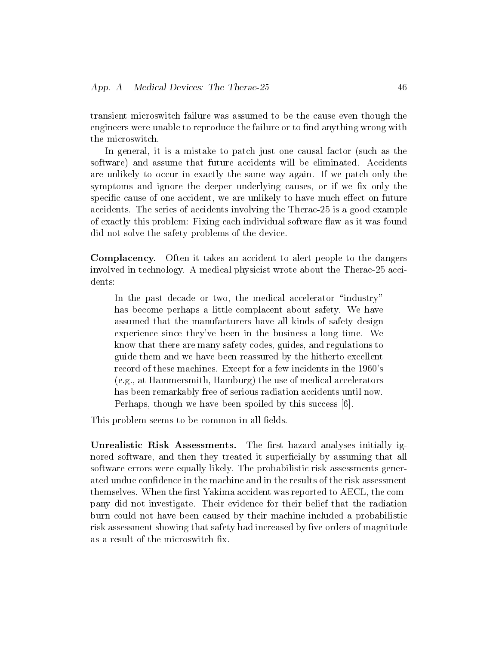transient microswitch failure was assumed to be the cause even though the engineers were unable to reproduce the failure or to find anything wrong with the microswitch.

In general, it is a mistake to patch just one causal factor (such as the software) and assume that future accidents will be eliminated. Accidents are unlikely to occur in exactly the same way again. If we patch only the symptoms and ignore the deeper underlying causes, or if we fix only the specific cause of one accident, we are unlikely to have much effect on future accidents. The series of accidents involving the Therac-25 is a good example of exactly this problem: Fixing each individual software flaw as it was found did not solve the safety problems of the device.

Complacency. Often it takes an accident to alert people to the dangers involved in technology. A medical physicist wrote about the Therac-25 accidents:

In the past decade or two, the medical accelerator "industry" has become perhaps a little complacent about safety. We have assumed that the manufacturers have all kinds of safety design experience since they've been in the business a long time. We know that there are many safety codes, guides, and regulations to guide them and we have been reassured by the hitherto excellent record of these machines. Except for a few incidents in the 1960's (e.g., at Hammersmith, Hamburg) the use of medical accelerators has been remarkably free of serious radiation accidents until now. Perhaps, though we have been spoiled by this success [6].

This problem seems to be common in all fields.

**Unrealistic Risk Assessments.** The first hazard analyses initially ignored software, and then they treated it superficially by assuming that all software errors were equally likely. The probabilistic risk assessments generated undue condence in the machine and in the results of the risk assessment themselves. When the first Yakima accident was reported to AECL, the company did not investigate. Their evidence for their belief that the radiation burn could not have been caused by their machine included a probabilistic risk assessment showing that safety had increased by five orders of magnitude as a result of the microswitch fix.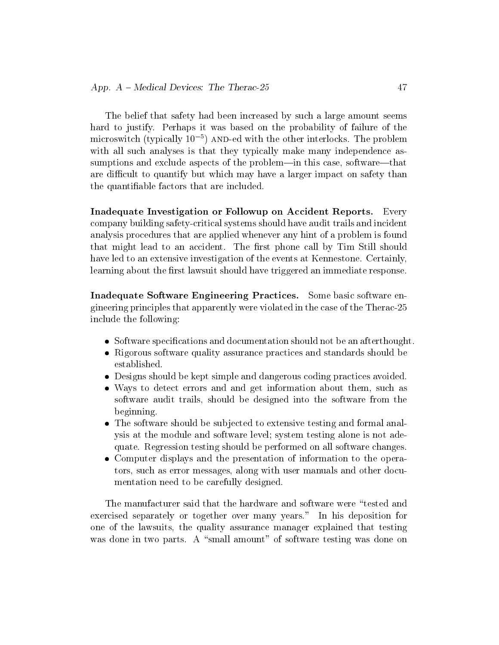The belief that safety had been increased by such a large amount seems hard to justify. Perhaps it was based on the probability of failure of the microswitch (typically  $10^{-5}$ ) AND-ed with the other interlocks. The problem with all such analyses is that they typically make many independence assumptions and exclude aspects of the problem—in this case, software—that are difficult to quantify but which may have a larger impact on safety than the quantiable factors that are included.

Inadequate Investigation or Followup on Accident Reports. Every company building safety-critical systems should have audit trails and incident analysis procedures that are applied whenever any hint of a problem is found that might lead to an accident. The first phone call by Tim Still should have led to an extensive investigation of the events at Kennestone. Certainly, learning about the first lawsuit should have triggered an immediate response.

Inadequate Software Engineering Practices. Some basic software engineering principles that apparently were violated in the case of the Therac-25 include the following:

- Software specications and documentation should not be an afterthought.
- Rigorous software quality assurance practices and standards should be established.
- Designs should be kept simple and dangerous coding practices avoided.
- Ways to detect errors and and get information about them, such as software audit trails, should be designed into the software from the beginning.
- The software should be subjected to extensive testing and formal analysis at the module and software level; system testing alone is not adequate. Regression testing should be performed on all software changes.
- Computer displays and the presentation of information to the operators, such as error messages, along with user manuals and other documentation need to be carefully designed.

The manufacturer said that the hardware and software were \tested and exercised separately or together over many years." In his deposition for one of the lawsuits, the quality assurance manager explained that testing was done in two parts. A "small amount" of software testing was done on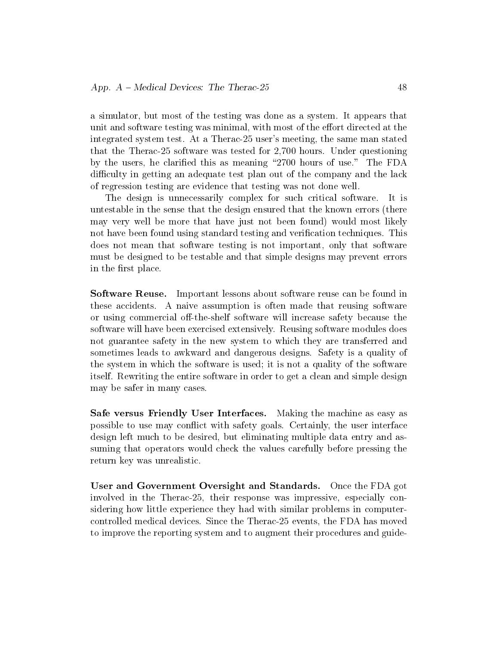a simulator, but most of the testing was done as a system. It appears that unit and software testing was minimal, with most of the effort directed at the integrated system test. At a Therac-25 user's meeting, the same man stated that the Therac-25 software was tested for 2,700 hours. Under questioning by the users, he clarified this as meaning "2700 hours of use." The FDA difficulty in getting an adequate test plan out of the company and the lack of regression testing are evidence that testing was not done well.

The design is unnecessarily complex for such critical software. It is untestable in the sense that the design ensured that the known errors (there may very well be more that have just not been found) would most likely not have been found using standard testing and verification techniques. This does not mean that software testing is not important, only that software must be designed to be testable and that simple designs may prevent errors in the first place.

Software Reuse. Important lessons about software reuse can be found in these accidents. A naive assumption is often made that reusing software or using commercial off-the-shelf software will increase safety because the software will have been exercised extensively. Reusing software modules does not guarantee safety in the new system to which they are transferred and sometimes leads to awkward and dangerous designs. Safety is a quality of the system in which the software is used; it is not a quality of the software itself. Rewriting the entire software in order to get a clean and simple design may be safer in many cases.

Safe versus Friendly User Interfaces. Making the machine as easy as possible to use may con
ict with safety goals. Certainly, the user interface design left much to be desired, but eliminating multiple data entry and assuming that operators would check the values carefully before pressing the return key was unrealistic.

User and Government Oversight and Standards. Once the FDA got involved in the Therac-25, their response was impressive, especially considering how little experience they had with similar problems in computercontrolled medical devices. Since the Therac-25 events, the FDA has moved to improve the reporting system and to augment their procedures and guide